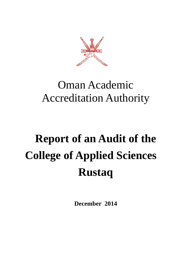

# Oman Academic Accreditation Authority

# **Report of an Audit of the College of Applied Sciences Rustaq**

**December 2014**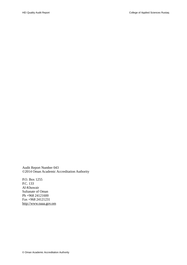Audit Report Number 043 ©2014 Oman Academic Accreditation Authority

P.O. Box 1255 P.C. 133 Al-Khuwair Sultanate of Oman Ph +968 24121600 Fax +968 24121231 [http://www.oaaa.gov.om](http://www.oaaa.gov.om/)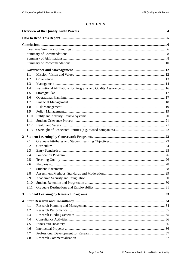# **CONTENTS**

|                | 1.1  |  |  |
|----------------|------|--|--|
|                | 1.2  |  |  |
|                | 1.3  |  |  |
|                | 1.4  |  |  |
|                | 1.5  |  |  |
|                | 1.6  |  |  |
|                | 1.7  |  |  |
|                | 1.8  |  |  |
|                | 1.9  |  |  |
|                | 1.10 |  |  |
|                | 1.11 |  |  |
|                | 1.12 |  |  |
|                | 1.13 |  |  |
| $\overline{2}$ |      |  |  |
|                | 2.1  |  |  |
|                | 2.2  |  |  |
|                | 2.3  |  |  |
|                | 2.4  |  |  |
|                | 2.5  |  |  |
|                | 2.6  |  |  |
|                | 2.7  |  |  |
|                | 2.8  |  |  |
|                | 2.9  |  |  |
|                | 2.10 |  |  |
|                | 2.11 |  |  |
| $\mathbf{3}$   |      |  |  |
| 4              |      |  |  |
|                | 4.1  |  |  |
|                | 4.2  |  |  |
|                | 4.3  |  |  |
|                | 4.4  |  |  |
|                | 4.5  |  |  |
|                | 4.6  |  |  |
|                | 4.7  |  |  |
|                | 4.8  |  |  |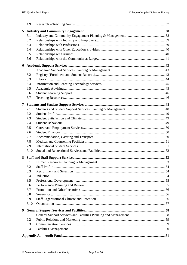|   | 4.9         |  |
|---|-------------|--|
| 5 |             |  |
|   | 5.1         |  |
|   | 5.2         |  |
|   | 5.3         |  |
|   | 5.4         |  |
|   | 5.5         |  |
|   | 5.6         |  |
| 6 |             |  |
|   | 6.1         |  |
|   | 6.2         |  |
|   | 6.3         |  |
|   | 6.4         |  |
|   | 6.5         |  |
|   | 6.6         |  |
|   | 6.7         |  |
| 7 |             |  |
|   | 7.1         |  |
|   | 7.2         |  |
|   | 7.3         |  |
|   | 7.4         |  |
|   | 7.5         |  |
|   | 7.6         |  |
|   | 7.7         |  |
|   | 7.8         |  |
|   | 7.9         |  |
|   | 7.10        |  |
| 8 |             |  |
|   | 8.1         |  |
|   | 8.2         |  |
|   | 8.3         |  |
|   | 8.4         |  |
|   | 8.5         |  |
|   | 8.6         |  |
|   | 8.7         |  |
|   | 8.8         |  |
|   | 8.9         |  |
|   | 8.10        |  |
| 9 |             |  |
|   | 9.1         |  |
|   | 9.2         |  |
|   | 9.3         |  |
|   | 9.4         |  |
|   | Appendix A. |  |
|   |             |  |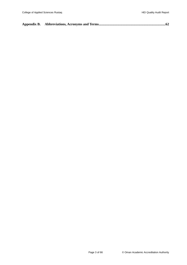|--|--|--|--|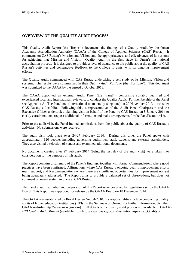# <span id="page-5-0"></span>**OVERVIEW OF THE QUALITY AUDIT PROCESS**

This Quality Audit Report (the 'Report') documents the findings of a Quality Audit by the Oman Academic Accreditation Authority (OAAA) of the College of Applied Sciences (CAS) Rustaq. It comments on CAS Rustaq's Mission and Vision, and the appropriateness and effectiveness of its systems for achieving that Mission and Vision. Quality Audit is the first stage in Oman's institutional accreditation process. It is designed to provide a level of assurance to the public about the quality of CAS Rustaq's activities and constructive feedback to the College to assist with its ongoing improvement efforts.

The Quality Audit commenced with CAS Rustaq undertaking a self study of its Mission, Vision and systems. The results were summarized in their *Quality Audit Portfolio* (the 'Portfolio'). This document was submitted to the OAAA by the agreed 2 October 2013.

The OAAA appointed an external Audit Panel (the 'Panel'), comprising suitably qualified and experienced local and international reviewers, to conduct the Quality Audit. For membership of the Panel see [Appendix A.](#page-62-0) The Panel met (international members by telephone) on 20 November 2013 to consider CAS Rustaq's Portfolio. Following this, a representative of the Audit Panel Chairperson and the Executive Officer undertook a planning visit on behalf of the Panel to CAS Rustaq on 8 January 2014 to clarify certain matters, request additional information and make arrangements for the Panel's audit visit.

Prior to the audit visit, the Panel invited submissions from the public about the quality of CAS Rustaq's activities. No submissions were received.

The audit visit took place over 24-27 February 2014. During this time, the Panel spoke with approximately 120 people, including governing authorities, staff, students and external stakeholders. They also visited a selection of venues and examined additional documents.

No documents created after 27 February 2014 (being the last day of the audit visit) were taken into consideration for the purposes of this audit.

The Report contains a summary of the Panel's findings, together with formal Commendations where good practices have been confirmed, Affirmations where CAS Rustaq's ongoing quality improvement efforts merit support, and Recommendations where there are significant opportunities for improvement not yet being adequately addressed. The Report aims to provide a balanced set of observations, but does not comment on every system in place at CAS Rustaq.

The Panel's audit activities and preparation of this Report were governed by regulations set by the OAAA Board. This Report was approved for release by the OAAA Board on 18 December 2014.

The OAAA was established by Royal Decree No. 54/2010. Its responsibilities include conducting quality audits of higher education institutions (HEIs) in the Sultanate of Oman. For further information, visit the OAAA website [\(http://www.oaaa.gov.om\)](http://www.oaaa.gov.om/). Full details of the quality audit process are available in OAAA's *HEI Quality Audit Manual* (available from [http://www.oaaa.gov.om/Institution.aspx#Inst\\_Quality](http://www.oaaa.gov.om/Institution.aspx#Inst_Quality) ).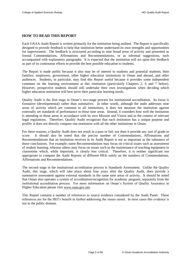# <span id="page-6-0"></span>**HOW TO READ THIS REPORT**

Each OAAA Audit Report is written primarily for the institution being audited. The Report is specifically designed to provide feedback to help that institution better understand its own strengths and opportunities for improvement. The feedback is structured according to nine broad areas of activity and presented as formal Commendations, Affirmations and Recommendations, or as informal suggestions, each accompanied with explanatory paragraphs. It is expected that the institution will act upon this feedback as part of its continuous efforts to provide the best possible education to students.

The Report is made public because it also may be of interest to students and potential students, their families, employers, government, other higher education institutions in Oman and abroad, and other audiences. Students, in particular, may find this Report useful because it provides some independent comment on the learning environment at this institution (particularly Chapters [2,](#page-24-0) [6](#page-44-0) and [7](#page-49-0) below). However, prospective students should still undertake their own investigations when deciding which higher education institution will best serve their particular learning needs.

Quality Audit is the first stage in Oman's two-stage process for institutional accreditation. Its focus is formative (developmental) rather than summative. In other words, although the audit addresses nine areas of activity which are common to all institutions, it does not measure the institution against externally set standards of performance in those nine areas. Instead, it considers how well the institution is attending to those areas in accordance with its own Mission and Vision and in the context of relevant legal regulations. Therefore, Quality Audit recognises that each institution has a unique purpose and profile; it does not directly compare one institution with all the other institutions in Oman.

For these reasons, a Quality Audit does not result in a pass or fail; nor does it provide any sort of grade or score. It should also be noted that the precise number of Commendations, Affirmations and Recommendations that an institution receives in its Audit Report is not as important as the substance of those conclusions. For example, some Recommendations may focus on critical issues such as assessment of student learning, whereas others may focus on issues such as the maintenance of teaching equipment in classrooms which, while important, is clearly less critical. Therefore, it is neither significant nor appropriate to compare the Audit Reports of different HEIs solely on the numbers of Commendations, Affirmations and Recommendations.

The second stage in the institutional accreditation process is Standards Assessment. Unlike the Quality Audit, this stage, which will take place about four years after the Quality Audit, does provide a summative assessment against external standards in the same nine areas of activity. It should be noted that Oman also operates a system of accreditation/recognition for academic program, separately from the institutional accreditation process. For more information on Oman's System of Quality Assurance in Higher Education please visit [www.oaaa.gov.om.](http://www.oaaa.gov.om/)

This Report contains a number of references to source evidence considered by the Audit Panel. These references are for the HEI's benefit in further addressing the issues raised. In most cases this evidence is not in the public domain.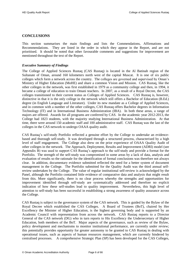# <span id="page-7-0"></span>**CONCLUSIONS**

This section summarises the main findings and lists the Commendations, Affirmations and Recommendations. They are listed in the order in which they appear in the Report, and are not prioritised. It should be noted that other favourable comments and suggestions for improvement are mentioned throughout the text of the Report.

# <span id="page-7-1"></span>*Executive Summary of Findings*

The College of Applied Sciences Rustaq (CAS Rustaq) is located in the Al Batinah region of the Sultanate of Oman, around 160 kilometers north west of the capital Muscat. It is one of six public colleges which form a network across the country. The colleges are governed and supervised by Oman's Ministry of Higher Education (MoHE) and share a common Vision and Mission. CAS Rustaq, like the other colleges in the network, was first established in 1979 as a community college and then, in 1994, it became a college of education to train Omani teachers. In 2007, as a result of a Royal Decree, the CAS colleges transitioned to their current status as Colleges of Applied Sciences. CAS Rustaq is, however, distinctive in that it is the only college in the network which still offers a Bachelor of Education (B.Ed.) degree (in English Language and Literature). Under its new mandate as a College of Applied Sciences, and in common with a number of the other colleges, CAS Rustaq offers Bachelor degrees in Information Technology (IT) and in International Business Administration (IBA). In both these areas, a range of majors are offered. Awards for all programs are conferred by CAS. In the academic year 2012-2013, the College had 1823 students, with the majority studying International Business Administration. At that time, there were around 150 academic staff and 100 administrative staff. CAS Rustaq was the last of the colleges in the CAS network to undergo OAAA quality audit.

CAS Rustaq's self-study Portfolio reflected a genuine effort by the College to undertake an evidencebased and thorough self-study. It was developed through a structured process, characterised by a high level of staff engagement. The College also drew on the prior experience of OAAA Quality Audit of other colleges in the network. The Approach, Deployment, Results and Improvement (ADRI) model (see Appendix B) was used to support CAS Rustaq's approach to the self-study and provide a format for the Portfolio. The strength of the self-study was compromised in some areas by a lack of data, analysis and evaluation of results so the rationale for the identification of formal conclusions was therefore not always clear. In addition, documentary evidence submitted reflected the need for a better system of document management in the College. The Portfolio submitted for the Quality Audit was the third annual selfreview undertaken by the College. The value of regular institutional self-review is acknowledged by the Panel, although the Portfolio contained little evidence of comparative data and analysis that might result from this. More significantly, there is no clear process whereby the strengths and opportunities for improvement identified through self-study are systematically addressed and therefore no explicit indication of how these self-studies lead to quality improvement. Nevertheless, this high level of attention to self-study has been successful in establishing a strong awareness of quality assurance across the College.

CAS Rustaq is subject to the governance system of the CAS network. This is guided by the Bylaw of the Royal Decree which established the CAS Colleges. A Board of Trustees (BoT), chaired by Her Excellency the Minister of Higher Education, is the highest governing body and is supported by an Academic Council with representation from across the network. CAS Rustaq reports to a Director General of the CAS network (DG) who in turn reports to His Excellency the Undersecretary of Higher Education, both members of the BoT. Major aspects of the governance, such as review of the Bylaw, policy development and mechanisms to monitor institutional performance, are currently under review; this potentially provides opportunity for greater autonomy to be granted to CAS Rustaq in dealing with operational issues, such as aspects of human resources management, which are currently hindered by centralised processes. A comprehensive Strategic Plan (SP) has been developed for the CAS Colleges,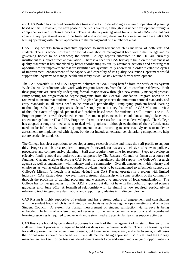and CAS Rustaq has devoted considerable time and effort to developing a system of operational planning based on this. However, the next phase of the SP is overdue, although it is under development through a comprehensive and inclusive process. There is also a pressing need for a suite of CAS-wide policies covering key operational areas to be finalized and approved; these are long overdue and have left CAS Rustaq operating with interim approaches to the management of a number of areas.

CAS Rusaq benefits from a proactive approach to management which is inclusive of both staff and students. There is scope, however, for formal evaluation of management both within the College and by governing bodies to be enhanced; the formal College reports submitted to the DG are currently insufficient to support effective evaluation. There is a need for CAS Rustaq to build on the awareness of quality assurance it has embedded by better coordinating its quality assurance activities and ensuring that opportunities for improvement that are identified are systematically addressed in order to establish cycles of improvement; enhancement of the capacity and capability of its Quality Assurance Department would support this. Systems to manage health and safety as well as risk require further development.

The CAS nework's IT and IBA Programs delivered at CAS Rusaq benefit from the work of its System Wide Course Coordinators who work with Program Directors from the DG to coordinate delivery. Both these programs are currently undergoing formal, major review through a new centrally managed process. Entry testing for progression to degree programs from the General Foundation Program needs to be reviewed to ensure that students' levels of English language meets the minimum national standards, and entry standards in all areas need to be reviewed periodically. Employing problem-based learning methodologies that help to prepare students for employment is a key feature of the CAS Mission; in view of this, the extent of applied, practical and problem-based work for students is still limited. The B.Ed. Program provides a well-developed scheme for student placements in schools but although placements are encouraged on the IT and IBA Programs, formal processes for this are underdeveloped. The College has adopted a range of mechanisms to deal with plagiarism although evaluation of their effectiveness needs to be informed by monitoring implementation and recording occurrences. Systems to moderate assessment are implemented with rigour, but do not include an external benchmarking component to help assure academic standards.

The College has clear aspirations to develop a strong research profile and it has the staff profile to support this. Progress in this area requires a stronger framework for research, inclusive of relevant policies, procedures and comprehensive planning. Staff also require more time for research. Steps to develop an effective funding model are underway and supported by The Research Council of Oman as a source of funding. Current work to develop a CAS bylaw for consultancy should support the College's research agenda as well as engagement with industry and the community. Overall, engagement with industry and employers as well as other higher education providers needs to be strengthened to effectively support the College's Mission (although it is acknowledged that CAS Rustaq operates in a region with limited industry). CAS Rustaq does, however, have a strong relationship with some sections of the community through the provision of training programs and workshops to employees of local organizations. The College has former graduates from its B.Ed. Program but did not have its first cohort of applied science graduates until June 2013. A formalised relationship with its alumni is now required, particularly in relation to tracking graduate destinations and supporting graduates in finding employment.

CAS Rustaq is highly supportive of students and has a strong culture of engagement and consultation with the student body which is facilitated by mechanisms such as regular open meetings and an active Student Council. A system for formal measurement of student satisfaction via surveys is being embedded. In terms of academic support services, further enhancement of electronic and paper-based learning resources is required together with more structured extracurricular learning support activities.

CAS Rustaq is bound by centralized processes for much of the management of its staff. Review of the staff recruitment processes is required to address delays in the current systems. There is a formal system for staff appraisal that considers training needs, but to enhance transparency and effectiveness, in all cases the formal results should be shared with the staff member being appraised. Both staff and the College management are keen for professional development needs to be addressed and a range of opportunities is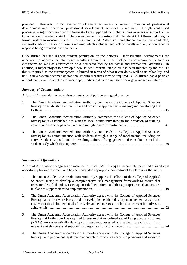provided. However, formal evaluation of the effectiveness of overall provision of professional development and individual professional development activities is required. Through centralised processes, a significant number of Omani staff are supported for higher studies overseas in support of the Omanisation of academic staff. There is evidence of a positive staff climate at CAS Rustaq, although a formal system to measure this is still being established. When staff and student surveys are conducted, systematic administration of these is required which includes feedback on results and any action taken in response being provided to respondents.

CAS Rustaq has the highest student population of the network. Infrastructure developments are underway to address the challenges resulting from this; these include basic requirements such as classrooms as well as construction of a dedicated facility for social and recreational activities. In addition, a major project to develop a new student information system has been initiated by the MoHE; this is required as the current system is limited in terms of what it can do as well as its reliability, and until a new system becomes operational interim measures may be required. CAS Rustaq has a positive outlook and is well-placed to embrace opportunities to develop in light of new governance initiatives.

# <span id="page-9-0"></span>*Summary of Commendations*

A formal Commendation recognises an instance of particularly good practice.

| 1. | The Oman Academic Accreditation Authority commends the College of Applied Sciences<br>Rustaq for establishing an inclusive and proactive approach to managing and developing the                                                                                          |  |
|----|---------------------------------------------------------------------------------------------------------------------------------------------------------------------------------------------------------------------------------------------------------------------------|--|
| 2. | The Oman Academic Accreditation Authority commends the College of Applied Sciences<br>Rustaq for its established ties with the local community through the provision of training                                                                                          |  |
| 3. | The Oman Academic Accreditation Authority commends the College of Applied Sciences<br>Rustaq for its communication with students through a range of mechanisms, including an<br>active Student Council, and the resulting culture of engagement and consultation with the |  |

# <span id="page-9-1"></span>*Summary of Affirmations*

A formal Affirmation recognises an instance in which CAS Rustaq has accurately identified a significant opportunity for improvement and has demonstrated appropriate commitment to addressing the matter.

| The Oman Academic Accreditation Authority supports the efforts of the College of Applied       |  |
|------------------------------------------------------------------------------------------------|--|
| Sciences Rustag to develop a comprehensive risk management framework to ensure that            |  |
| risks are identified and assessed against defined criteria and that appropriate mechanisms are |  |
|                                                                                                |  |
| The Oman Academic Accreditation Authority agrees with the College of Applied Sciences          |  |

- 2. [The Oman Academic Accreditation Authority agrees with the College of Applied Sciences](#page-23-1)  [Rustaq that further work is required to develop its health and safety management system and](#page-23-1)  [ensure that this is implemented effectively, and encourages it to build on current initiatives to](#page-23-1)  [achieve this........................................................................................................................................22](#page-23-1)
- 3. [The Oman Academic Accreditation Authority agrees with the College of Applied Sciences](#page-25-1)  [Rustaq that further work is required to ensure that its defined set of key graduate attributes](#page-25-1)  [\(KGAs\) are systematically developed in students, assessed and subject to evaluation from](#page-25-1)  [relevant stakeholders, and supports its on-going efforts to achieve this.](#page-25-1) ..........................................24
- 4. [The Oman Academic Accreditation Authority agrees with the College of Applied Sciences](#page-26-1)  [Rustaq that a permanent, systematic approach to review its academic programs and maintain](#page-26-1)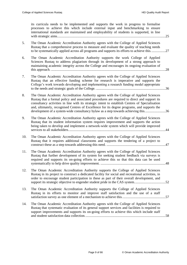[its curricula needs to be implemented and supports the work in progress to formalise](#page-26-1)  [processes to achieve this which include external input and benchmarking to ensure](#page-26-1)  [international standards are maintained and employability of students is supported, in line](#page-26-1)  [with strategic aims.............................................................................................................................25](#page-26-1)

| The Oman Academic Accreditation Authority agrees with the College of Applied Sciences<br>Rustag that a comprehensive process to measure and evaluate the quality of teaching needs<br>to be systematically applied across all programs and supports its efforts to achieve this27 |
|-----------------------------------------------------------------------------------------------------------------------------------------------------------------------------------------------------------------------------------------------------------------------------------|
| The Oman Academic Accreditation Authority supports the work College of Applied                                                                                                                                                                                                    |

- 6. [The Oman Academic Accreditation Authority supports the work College of Applied](#page-29-2)  [Sciences Rustaq to address plagiarism through its development of a strong approach to](#page-29-2)  [maintaining academic integrity across the College and encourages its ongoing evaluation of](#page-29-2)  this approach. [....................................................................................................................................28](#page-29-2)
- 7. [The Oman Academic Accreditation Authority agrees with the College of Applied Sciences](#page-37-3)  [Rustaq that an effective funding scheme for research is imperative and supports the](#page-37-3)  [College's work towards developing and implementing a research funding model appropriate](#page-37-3)  to the needs and strategic goals of the College. [................................................................................36](#page-37-3)
- 8. [The Oman Academic Accreditation Authority agrees with the College of Applied Sciences](#page-37-4)  [Rustaq that a formal policy and associated procedures are required to direct and support its](#page-37-4)  [consultancy activities in line with its strategic intent to establish Centres of Specialisation](#page-37-4)  [and, ultimately, recognised Centres of Excellence for its degree programs, and supports the](#page-37-4)  development of a system-wide consultancy bylaw as a step towards achieving this..........................36
- 9. [The Oman Academic Accreditation Authority agrees with the College of Applied Sciences](#page-45-1)  [Rustaq that its student information system requires improvement and supports the action](#page-45-1)  [being taken to develop and implement a network-wide system which will provide improved](#page-45-1)  [services to all stakeholders................................................................................................................44](#page-45-1)
- 10. [The Oman Academic Accreditation Authority agrees with the College of Applied Sciences](#page-48-0)  [Rustaq that it requires additional classrooms and supports the tendering of a project to](#page-48-0)  construct these as a step towards addressing this need. [....................................................................47](#page-48-0)
- 11. [The Oman Academic Accreditation Authority agrees with the College of Applied Sciences](#page-49-2)  [Rustaq that further development of its system for seeking student feedback via surveys is](#page-49-2)  [required and supports its on-going efforts to achieve this so that this data can be used](#page-49-2)  [systematically to help drive quality improvement.](#page-49-2) ...........................................................................48
- 12. [The Oman Academic Accreditation Authority supports the College of Applied Sciences](#page-53-1)  [Rustaq in its project to construct a dedicated facility for social and recreational activities, in](#page-53-1)  [order to encourage student participation in these as part of their overall development, and](#page-53-1)  support its strategic objective to engender student pride in the CAS system..................................52
- 13. [The Oman Academic Accreditation Authority supports the College of Applied Sciences](#page-58-1)  [Rustaq in its efforts to monitor and improve staff satisfaction and the use of a staff](#page-58-1)  [satisfaction survey as one element of a mechanism to achieve this..................................................57](#page-58-1)
- 14. [The Oman Academic Accreditation Authority agrees with the College of](#page-59-2) Applied Sciences [Rustaq that systematic evaluation of its general support services and facilities is required to](#page-59-2)  [support improvements and supports its on-going efforts to achieve this which include staff](#page-59-2)  [and student satisfaction data collection.............................................................................................58](#page-59-2)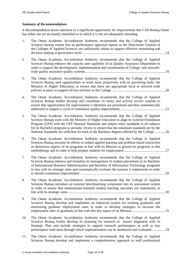# <span id="page-11-0"></span>*Summary of Recommendations*

A Recommendation draws attention to a significant opportunity for improvement that CAS Rustaq Oman has either not yet accurately identified or to which it is not yet adequately attending.

| 1.  | The Oman Academic Accreditation Authority recommends that the College of Applied<br>Sciences Rustaq ensure that its performance appraisal reports to the Directorate General of<br>the Colleges of Applied Sciences are sufficiently robust to support effective monitoring and                                                                                                                                                                                            |
|-----|----------------------------------------------------------------------------------------------------------------------------------------------------------------------------------------------------------------------------------------------------------------------------------------------------------------------------------------------------------------------------------------------------------------------------------------------------------------------------|
| 2.  | The Oman Academic Accreditation Authority recommends that the College of Applied<br>Sciences Rustaq enhance the capacity and capability of its Quality Assurance Department in<br>order to support the development, implementation and coordination of College- and network-                                                                                                                                                                                               |
| 3.  | The Oman Academic Accreditation Authority recommends that the College of Applied<br>Sciences Rustaq seek opportunities to work more proactively with its governing body, the<br>Ministry of Higher Education, to ensure that there are appropriate local or network-wide                                                                                                                                                                                                   |
| 4.  | The Oman Academic Accreditation Authority recommends that the College of Applied<br>Sciences Rustaq further develop and coordinate its entity and activity review systems to<br>ensure that opportunities for improvement it identifies are prioritised and then systematically                                                                                                                                                                                            |
| 5.  | The Oman Academic Accreditation Authority recommends that the College of Applied<br>Sciences Rustaq work with the Ministry of Higher Education to align its General Foundation<br>Program (GFP) with the GFP National Standards and subject entry standards in all subjects<br>for its Bachelor programs to periodic review to ensure that the minimum standards set by the<br>National Standards are sufficient for each of the Bachelor degrees offered by the College26 |
| 6.  | The Oman Academic Accreditation Authority recommends that the College of Applied<br>Sciences Rustaq increase its efforts to embed applied learning and problem-based instruction<br>as distinctive aspects of its programs in line with its Mission to ground its programs in this                                                                                                                                                                                         |
| 7.  | The Oman Academic Accreditation Authority recommends that the College of Applied<br>Sciences Rustaq enhance and formalise its management of student placements in its Bachelor<br>of International Business Administration and Bachelor of Information Technology programs<br>in line with its strategic aims and systematically evaluate the systems it implements in order<br>.29                                                                                        |
| 8.  | The Oman Academic Accreditation Authority recommends that the College of Applied<br>Sciences Rustaq introduce an external benchmarking component into its assessment system<br>in order to ensure that international-standard student learning outcomes are maintained, in                                                                                                                                                                                                 |
| 9.  | The Oman Academic Accreditation Authority recommends that the College of Applied<br>Sciences Rustaq develop and implement an enhanced system for tracking graduates and<br>monitoring graduate employment rates in order to develop strategies to increase the                                                                                                                                                                                                             |
| 10. | The Oman Academic Accreditation Authority recommends that the College of Applied<br>Sciences Rustaq further develop its planning for research to ensure alignment with its<br>Strategic Plan and include strategies to support research performance as well as key<br>performance indicators through which implementation can be monitored and evaluated34                                                                                                                 |
| 11. | The Oman Academic Accreditation Authority recommends that the College of Applied<br>Sciences Rustaq develop and implement a comprehensive approach to staff professional                                                                                                                                                                                                                                                                                                   |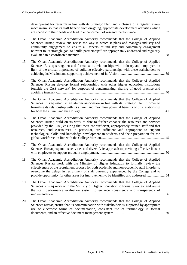[development for research in line with its Strategic Plan, and inclusive of a regular review](#page-38-3)  [mechanism, so that its staff benefit from on-going, appropriate development activities which](#page-38-3)  [are specific to their needs and lead to enhancement of research performance..................................37](#page-38-3)

| 12. | The Oman Academic Accreditation Authority recommends that the College of Applied<br>Sciences Rustaq review and revise the way in which it plans and manages industry and<br>community engagement to ensure all aspects of industry and community engagement<br>relevant to its strategic goal to "build partnerships" are appropriately addressed and regularly                                                                                                 |    |
|-----|-----------------------------------------------------------------------------------------------------------------------------------------------------------------------------------------------------------------------------------------------------------------------------------------------------------------------------------------------------------------------------------------------------------------------------------------------------------------|----|
| 13. | The Oman Academic Accreditation Authority recommends that the College of Applied<br>Sciences Rustaq strengthen and formalise its relationships with industry and employers in<br>light of the critical importance of building effective partnerships with these stakeholders to                                                                                                                                                                                 |    |
| 14. | The Oman Academic Accreditation Authority recommends that the College of Applied<br>Sciences Rustaq develop formal relationships with other higher education institutions<br>(outside the CAS network) for purposes of benchmarking, sharing of good practice and                                                                                                                                                                                               |    |
| 15. | The Oman Academic Accreditation Authority recommends that the College of Applied<br>Sciences Rustaq establish an alumni association in line with its Strategic Plan in order to<br>formalise its relationship with its alumni and maximise potential benefits of this relationship                                                                                                                                                                              |    |
| 16. | The Oman Academic Accreditation Authority recommends that the College of Applied<br>Sciences Rustaq build on its work to date to further enhance the resources and services<br>provided by the LRC, ensuring that there are sufficient, appropriately trained staff and that<br>resources, and e-resources in particular, are sufficient and appropriate to support<br>technological skills and knowledge development in students and their preparation for the |    |
| 17. | The Oman Academic Accreditation Authority recommends that the College of Applied<br>Sciences Rustaq expand its activities and diversify its approach to providing effective liaison                                                                                                                                                                                                                                                                             |    |
| 18. | The Oman Academic Accreditation Authority recommends that the College of Applied<br>Sciences Rustaq work with the Ministry of Higher Education to formally review the<br>effectiveness of the recruitment process for both academic and non-academic staff in order to<br>overcome the delays in recruitment of staff currently experienced by the College and to<br>provide opportunity for other areas for improvement to be identified and addressed.        | 54 |
| 19. | The Oman Academic Accreditation Authority recommends that the College of Applied<br>Sciences Rustaq work with the Ministry of Higher Education to formally review and revise<br>the staff performance evaluation system to enhance consistency and transparency of                                                                                                                                                                                              |    |
| 20. | The Oman Academic Accreditation Authority recommends that the College of Applied<br>Sciences Rustaq ensure that its communication with stakeholders is supported by appropriate<br>use of electronic forms of documentation, consistent use of terminology in formal                                                                                                                                                                                            |    |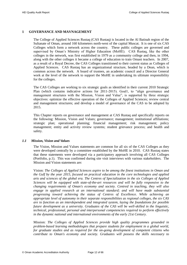# <span id="page-13-0"></span>**1 GOVERNANCE AND MAVNAGEMENT**

The College of Applied Sciences Rustaq (CAS Rustaq) is located in the Al Batinah region of the Sultanate of Oman, around 160 kilometers north-west of the capital Muscat. It is one of six CAS Colleges which form a network across the country. These public colleges are governed and supervised by Oman's Ministry of Higher Education (MoHE). CAS Rustaq, like the other colleges in the network, was first established in 1979 as a community college and then, in 1994, along with the other colleges it became a college of education to train Omani teachers. In 2007, as a result of a Royal Decree, the CAS Colleges transitioned to their current status as Colleges of Applied Sciences. CAS Rustaq has an organizational structure, headed by a Dean, which is common across the network. A board of trustees, an academic council and a Director General work at the level of the network to support the MoHE in undertaking its ultimate responsibility for the colleges.

The CAS Colleges are working to six strategic goals as identified in their current 2010 Strategic Plan (which contains indicative actions for 2011-2015). Goal1, to "align governance and management structures with the Mission, Vision and Value", is supported by three strategic objectives: optimize the effective operation of the Colleges of Applied Sciences; review central and management structures; and develop a model of governance of the CAS to be adopted by 2015.

This Chapter reports on governance and management at CAS Rustaq and specifically reports on the following: Mission, Vision and Values; governance; management; institutional affiliations; strategic plan; operational planning; financial management; risk management; policy management; entity and activity review systems; student grievance process; and health and safety.

# <span id="page-13-1"></span>*1.1 Mission, Vision and Values*

The Vision, Mission and Values statements are common for all six of the CAS Colleges as they were developed centrally by a committee established by the MoHE in 2010. CAS Rustaq states that these statements were developed via a participatory approach involving all CAS Colleges (Portfolio, p.1). This was confirmed during site visit interviews with various stakeholders. The Mission and Vision statements are:

Vision: *The Colleges of Applied Sciences aspire to be among the finest institutions in Oman and the Gulf by the year 2015, focused on practical education in the core technologies and applied arts and sciences of the global era. The Centres of Specialization in the six Colleges of Applied Sciences will be equipped with state-of-the-art resources and will be fully responsive to the changing requirements of Oman's economy and society. Centred in teaching, they will also engage in applied research at an international standard; and will have made substantial progressing toward achieving the status of Centres of Excellence. While achieving an appropriate level of autonomy in their separate responsibilities as regional colleges, the six CAS are to function as an interdependent and integrated system, laying the foundations for possible future development as a university. Graduates of the CAS will be well-skilled in the linguistic, technical, professional, personal and interpersonal competencies required to perform effectively in the dynamic national and international environments of the early 21st Century.* 

Mission: *The Colleges of Applied Sciences provide high quality programmes grounded in problem-based learning methodologies that prepare students for employment in a global world, for graduate studies and as required for the on-going development of competent citizens who contribute to Oman's economy and society. Graduates will possess the skills necessary to*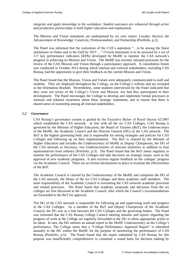*integrate and apply knowledge in the workplace. Student outcomes are enhanced through active and productive partnerships in both higher education and employment.* 

The Mission and Vision statements are underpinned by six core values: Loyalty; Service; the Advancement of Knowledge; Creativity; Professionalism; and Partnership (Portfolio, p.2).

The Panel was informed that the realization of the CAS's aspiration "…to be among the finest institutions in Oman and in the Gulf by 2015 …" (Vision statement) is to be assessed by a set of 117 key performance indicators (KPIs) developed by MoHE to monitor the CAS network's progress in achieving its Mission and Vision. The MoHE has recently initiated processes for the review of the CAS Mission and Vision through a participatory approach. A consultation forum was conducted in October 2013 during which internal and external stakeholders, including CAS Rustaq, had the opportunity to give their feedback on the current Mission and Vision.

The Panel found that the Mission, Vision and Values were adequately communicated to staff and students. They are displayed throughout the College, on the College's website and are included in the Orientation Booklet. Nevertheless, some students interviewed by the Panel indicated that they were not aware of the College's Vision and Mission, nor had they participated in their development. The Panel encourages the College to develop and implement formal processes to measure and enhance awareness about these strategic statements, and to ensure that there is shared sense of ownership among all internal stakeholders.

# <span id="page-14-0"></span>*1.2 Governance*

CAS Rustaq's governance system is guided by the Executive Bylaw of Royal Decree 62/2007 which established the CAS network. In line with all the six CAS Colleges, CAS Rustaq is governed by the Minister of Higher Education, the Board of Trustees (BoT), the Undersecretary of the MoHE, the Academic Council and the Director General (DG) of the CAS network. The BoT is the highest governing body and is responsible for setting strategies and policies for CAS Colleges and following up on their implementation. The BoT is chaired by the Minister of Higher Education and includes the Undersecretary of MoHE as Deputy Chairperson, the DG of the CAS network as Secretary, two Undersecretaries of relevant ministries in addition to four representatives from industry (Portfolio, p.3). The Panel found that the BoT meets regularly to monitor the performance of the CAS Colleges and take decisions on strategic issues, such as the approval of new academic programs. It also receives regular feedback on the colleges' progress via the Academic Council. There are no formal mechanisms in place to evaluate the effectiveness of the BoT.

The Academic Council is chaired by the Undersecretary of the MoHE and comprises the DG of the CAS network, the Deans of the six CAS Colleges and three academic staff members. The main responsibility of the Academic Council is overseeing the CAS network academic provision and related processes. The Panel learnt that academic proposals and decisions from the six colleges are first discussed at the Academic Council, after which the Council's recommendations are forwarded to the BoT for approval.

The DG of the CAS network is responsible for following up and supervising work and progress in the CAS Colleges. As a member of the BoT and Deputy Chairperson of the Academic Council, the DG acts as a link between the CAS Colleges and the governing bodies. The Panel was informed that the CAS Rustaq College Council meeting minutes and reports regarding the progress of work at the College are regularly forwarded to the DG to allow appropriate action to be taken. In turn, the DG submits an annual report to the MoHE Undersecretary on the College's performance. The College states that a "College Performance Appraisal Report" is submitted annually to the DG within the MoHE for the purpose of monitoring the performance of CAS Rustaq (Portfolio, p.5). The Panel found that the report submitted by CAS Rustaq for this purpose was insufficiently comprehensive to constitute a sound basis for decision making by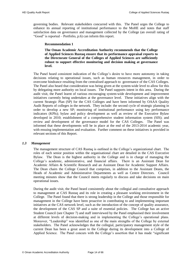<span id="page-15-2"></span>governing bodies. Relevant stakeholders concurred with this. The Panel urges the College to enhance its annual reporting of institutional performance to the MoHE and notes that staff satisfaction data on governance and management collected by the College (an overall rating of "Good" is reported – Portfolio, p.6) can inform this report.

#### **Recommendation 1**

<span id="page-15-1"></span>**The Oman Academic Accreditation Authority recommends that the College of Applied Sciences Rustaq ensure that its performance appraisal reports to the Directorate General of the Colleges of Applied Sciences are sufficiently robust to support effective monitoring and decision making at governance level.** 

The Panel heard consistent indication of the College's desire to have more autonomy in taking decisions relating to operational issues, such as human resources management, in order to overcome hindrance resulting from the centralised approach to governance of the CAS Colleges. The Panel also heard that consideration was being given at the system-wide level to allow for this by delegating more authority on local issues. The Panel supports intent in this area. During the audit visit, the Panel learnt of various encouraging system-wide development and improvement initiatives currently being undertaken at the governance level. These initiatives align with the current Strategic Plan (SP) for the CAS Colleges and have been informed by OAAA Quality Audit Reports of colleges in the network. They include: the second cycle of strategic planning in order to develop a new SP; monitoring of institutional performance using key performance indicators (KPIs); bylaw and policy development as well as review of the Executive Bylaw developed in 2010; establishment of a comprehensive student information system (SIS); and review and development of the governance model for the CAS Colleges. The Panel was informed that these developments will be in place at the end of the 2013-2014 academic year, with ensuing implementation and evaluation. Further comment on these initiatives is provided in relevant sections of this Report.

# <span id="page-15-0"></span>*1.3 Management*

The management structure of CAS Rustaq is outlined in the College's organizational chart. The roles of each senior position within the organisational chart are detailed in the CAS Executive Bylaw. The Dean is the highest authority in the College and is in charge of managing the College's academic, administrative, and financial affairs. There is an Assistant Dean for Academic Affairs & Scientific Research and an Assistant Dean for Academic Support Affairs. The Dean chairs the College Council that comprises, in addition to the Assistant Deans, the Heads of Academic and Administrative Departments as well as Centre Directors. Council meeting minutes show that the Council meets regularly to discuss and take decisions on main operational issues.

During the audit visit, the Panel heard consistently about the collegial and consultative approach to management at CAS Rustaq and its role in creating a pleasant working environment in the College. The Panel found that there is strong leadership in the College and those responsible for management in the College have been proactive in contributing to and implementing important initiatives at the CAS network level, such as the introduction of the concept of quality assurance, the development of the CAS SP and a suite of essential policies. The College has an active Student Council (see Chapter [7\)](#page-49-0) and staff interviewed by the Panel emphasised their involvement at different levels of decision-making and in implementing the College's operational plans. Moreover, "Leadership" was identified as one of the main strengths of the College by external stakeholders. The Panel acknowledges that the collegial, participatory management style of the current Dean has been a great asset to the College during its development into a College of Applied Science. The Panel concurs with the College's assertion that it has made "significant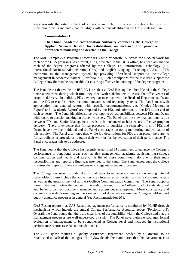<span id="page-16-1"></span>steps towards the establishment of a broad-based platform where everybody has a voice" (Portfolio, p.xviii) and notes that this aligns with actions identified in the CAS Strategic Plan.

# **Commendation 1**

# **The Oman Academic Accreditation Authority commends the College of Applied Sciences Rustaq for establishing an inclusive and proactive approach to managing and developing the College.**

<span id="page-16-0"></span>The MoHE employs a Program Director (PD) with responsibility across the CAS network for each of the CAS programs. As a result, a PD, affiliated to the DG's office, has been assigned to each of the degree programs offered by the College, i.e., Information Technology (IT), International Business Administration (IBA) and English Language Teaching (ELT). PDs contribute to the management system by providing "first-hand support to the College management in academic matters" (Portfolio, p.5). Job descriptions for the PDs who support the College show them to be responsible for ensuring effective functioning of the degree programs.

The Panel learnt that while the IBA PD is resident at CAS Rustaq, the other PDs visit the College twice a semester, during which time they meet with stakeholders to assess the effectiveness of program delivery. In addition, PDs have regular meetings with the Heads of Departments, Deans and the DG to establish effective communications and reporting systems. The Panel notes with appreciation that detailed reports with specific recommendations, e.g. 'Grades Moderation Report' and 'Academic Report' are prepared by the PDs and submitted to the DG at the end of each semester. The Panel identified some overlapping of responsibilities between PDs and Deans with regard to decision making on academic issues. The Panel is of the view that communication between PDs and Senior Management needs to be enhanced to help ensure effective program delivery. There is evidence that formal processes to consider the respective roles of PDs and Deans have now been initiated and the Panel encourages on-going monitoring and evaluation of this activity. The Panel also notes that, while job descriptions for PDs are in place, there are no formal policies or procedures to guide their work or for the evaluation of their performance. The Panel encourages this to be addressed.

The Panel learnt that the College has recently established 23 committees to enhance the College's performance in functional areas such as risk management, academic advising, intra-college communication and health and safety. A list of these committees, along with their main responsibilities and reporting lines was provided to the Panel. The Panel encourages the College to assess the impact of these committees on college management processes.

The College has recently undertaken initial steps to enhance communication among internal stakeholders; these include the activation of an internal e-mail system and an SMS-based system as well as the establishment of an Intra-College Communication Committee. The Panel supports these initiatives. Over the course of the audit, the need for the College to adopt a standardised and better organised document management system became apparent. More consistency and coherence in style, formatting and version control of documents across the College would support quality assurance processes in general (see [Recommendation 20](#page-61-2) ).

CAS Rustaq reports that CAS Rustaq management performance is monitored by MoHE through mechanisms which include the annual College Performance Appraisal report (Portfolio, p.5). Overall, the Panel found that there are clear lines of accountability within the College and that the management processes are well-understood by staff. The Panel nevertheless encourages formal evaluation of management to be strengthened at College level and included in institutional performance reports (see [Recommendation 1\)](#page-15-2).

The CAS Bylaw requires a Quality Assurance Department, headed by a Director, to be established in each of the colleges. The Bylaw details the main duties that this Department is to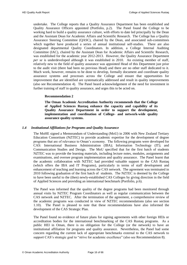undertake. The College reports that a Quality Assurance Department has been established and Quality Assurance Officers appointed (Portfolio, p.2). The Panel found the College to be working hard to build a quality assurance culture, with efforts to date led principally by the Dean and the Assistant Dean for Academic Affairs and Scientific Research. The College has a Quality Assurance Steering Committee (QASC), chaired by the Dean, and associated sub-committees which together have produced a series of annual institutional self-studies. There are also designated departmental Quality Coordinators. In addition, a College Internal Auditing Committee (IAC), chaired by the Assistant Dean for Academic Affairs and Scientific Research, was established for the academic year 2012-2013. However, the Quality Assurance Department *per se* is underdeveloped although it was established in 2010. An existing member of staff, relatively new to the field of quality assurance was appointed Head of this Department just prior to the audit visit (there had been no previous Head) and there are no other staff dedicated to it. Much work, however, remains to be done to develop, formally document and coordinate quality assurance systems and processes across the College and ensure that opportunities for improvement that are identified are systematically addressed and result in quality improvements (also see [Recommendation 4\)](#page-22-3). The Panel heard acknowledgement of the need for investment in further training of staff in quality assurance, and urges this to be acted on.

#### <span id="page-17-2"></span>**Recommendation 2**

<span id="page-17-1"></span>**The Oman Academic Accreditation Authority recommends that the College of Applied Sciences Rustaq enhance the capacity and capability of its Quality Assurance Department in order to support the development, implementation and coordination of College- and network-wide quality assurance quality systems.**

# <span id="page-17-0"></span>*1.4 Institutional Affiliations for Programs and Quality Assurance*

The MoHE signed a Memorandum of Understanding (MoU) in 2006 with New Zealand Tertiary Education Consortium (NZTEC) to provide academic expertise for the development of degree programs that are of relevance to Oman's economy. The following programs were developed for CAS: International Business Administration (IBA); Information Technology (IT); and Communication Studies and Design. The MoU specified that for the first batch of students NZTEC was to provide the learning materials, including lecture notes, modules, assignments and examinations, and oversee program implementation and quality assurance. The Panel learnt that the academic collaboration with NZTEC had provided valuable support to the CAS Rustaq (which offers the IBA and IT Programs), particularly in terms of staff development and enhancement of teaching and learning across the CAS network. The agreement was terminated in 2010 following graduation of the first batch of students. The NZTEC is deemed by the College to have been useful to the (then) newly-established CAS Colleges by giving direction in the field of Applied Sciences and providing an international benchmark (Portfolio, p.6).

The Panel was informed that the quality of the degree programs had been monitored through annual visits by NZTEC Program Coordinators as well as regular communication between the CAS network and NZTEC. After the termination of the agreement, a comprehensive review of the academic programs was conducted in view of NZTEC recommendations (also see section 1.10). The Panel is pleased to note that these recommendations have also informed the development of the CAS Strategic Plan.

The Panel found no evidence of future plans for signing agreements with other foreign HEIs or accreditation bodies for the international benchmarking of the CAS Rustaq programs. As a public HEI in Oman, there is no obligation for the College (or the network) to have an institutional affiliation for programs and quality assurance. Nevertheless, the Panel had some concern regarding the current lack of appropriate benchmarks external to the CAS network to support CAS's strategic goal to "strive for academic excellence" (also see [Recommendation 8\)](#page-31-3).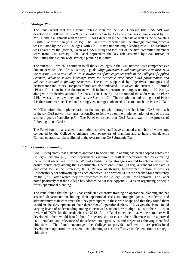#### <span id="page-18-0"></span>*1.5 Strategic Plan*

The Panel learnt that the current Strategic Plan for the CAS Colleges (the CAS SP) was developed in 2009-2010 by a 'Dean's Taskforce' in light of consultancies commissioned by the MoHE and in alignment with the draft SP for Education in the Sultanate as well as the Sultanate's Eighth Five Year Plan (2011-2015). The Panel was informed that the strategic planning process was initiated by the CAS Colleges, with CAS Rustaq undertaking a leading role. The Taskforce was chaired by the (former) Dean of CAS Rustaq and two out of the five committee members were from CAS Rustaq. The Panel appreciates the key role assumed by CAS Rustaq in facilitating this system-wide strategic planning initiative.

The current SP, which is common to all the six colleges in the CAS network, is a comprehensive document which identifies six strategic goals: *align governance and management structures with the Mission, Vision and Values; raise awareness of and engender pride in the Colleges of Applied Sciences; advance student learning; strive for academic excellence; build partnerships; and achieve sustainable funding resources.* These are supported by objectives, strategies and performance indicators. Responsibilities are also indicated. However, the current SP – termed "Phase 1" – is an interim document which includes performance targets relating to 2010 only, along with "indicative actions" for Phase 2 (2011-2015). At the time of the audit visit, the Phase 2 Plan was still being worked on (also see Section 1.2). The completion and rolling out of Phase 2 is therefore overdue. The Panel strongly encourages enhanced effort to launch the Phase 2 Plan.

MoHE monitors the implementation of the strategic plan through feedback from CAS with each of the six CAS network colleges responsible to follow up on the implementation of one of the six strategic goals (Portfolio, p.8). The Panel confirmed that CAS Rustaq was in the process of following up on Goal 4.

The Panel found that academic and administrative staff have attended a number of workshops conducted by the College to enhance their awareness of planning and to help them develop College operational plans aligned to the overarching CAS Strategic Plan.

# <span id="page-18-1"></span>*1.6 Operational Planning*

CAS Rustaq states that a standard approach to operational planning has been adopted across the College (Portfolio, p.8). Each department is required to draft its operational plan by extracting the relevant objectives from the SP, and identifying the strategies needed to achieve these. To ensure consistency among the Departmental Operational Plans (DOPs), a standard template is employed to list the Strategies, KPIs, Review of Results, Improvement Action as well as Responsibility for following up on each objective. The drafted DOPs are checked for consistency by the QASC after which they are forwarded to the College Council for approval. The Panel noted positively that the College has adopted ADRI (see Appendix B) as an organising principle for its operational planning.

The Panel found that the QASC has conducted extensive training on operational planning and has assisted departments in linking their operational tasks to strategic goals. Academic and administrative staff confirmed that they participated in these workshops and that they found them useful in the development of their departments' operational plans. However, the Panel found varying levels of understanding among interviewed staff on how to align DOPs to the SP. Upon review of DOPs for the academic year 2012-13, the Panel concluded that while some are well developed, others would benefit from further revision to ensure their adherence to the approved DOP template, and relevance of the selected strategies, KPIs and targets to achieving identified objectives. The Panel encourages the College to provide staff with more professional development opportunities in operational planning to ensure effective implementation of strategic objectives.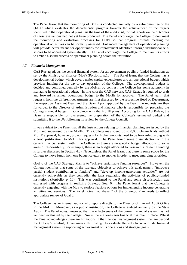The Panel learnt that the monitoring of DOPs is conducted annually by a sub-committee of the QASC which evaluates the departments' progress towards the achievement of the targets identified in their operational plans. At the time of the audit visit, formal reports on the outcomes of these evaluations had not yet been produced. The Panel encourages the College to document the monitoring and evaluation processes for DOPs so that progress towards meeting the operational objectives can be formally assessed. Enhanced management of operational planning will provide better means for opportunities for improvement identified through institutional selfstudies to be addressed systematically. The Panel encourages the College to maintain its efforts to embed a sound process of operational planning across the institution.

# <span id="page-19-0"></span>*1.7 Financial Management*

CAS Rustaq adopts the central financial system for all government publicly-funded institutions as set by the Ministry of Finance (MoF) (Portfolio, p.10). The Panel learnt that the College has a developmental budget which covers major capital expenditures and an operational budget which provides funding for the day-to-day operation of the College. The developmental budget is decided and controlled centrally by the MoHE; by contrast, the College has some autonomy in managing its operational budget. In line with the CAS network, CAS Rustaq is required to draft and forward its annual operational budget to the MoHE for approval. The Panel learnt that requests from the different departments are first discussed by the respective Head of Department, the respective Assistant Dean and the Dean. Upon approval by the Dean, the requests are then forwarded to the Director of Administration and Finance who is responsible for preparing the College's annual budget in accordance with the MoHE plans. According to the CAS Bylaw, the Dean is responsible for overseeing the preparation of the College's estimated budget and submitting it to the DG following its review by the College Council.

It was evident to the Panel that all the instructions relating to financial planning are issued by the MoF and supervised by the MoHE. The College may spend up to 8,000 Omani Rials without MoHE approval; however, project requests for higher amounts need to be forwarded, along with a good justification, to MoHE for approval. The Panel found some dissatisfaction with the current financial system within the College, as there are no specific budget allocations to some areas of responsibility; for example, there is no budget allocated for research. (Research funding is further discussed in Section [4.3\)](#page-36-1). Nevertheless, the Panel learnt that there is some scope for the College to move funds from one budget category to another in order to meet emerging priorities.

Goal 6 of the CAS Strategic Plan is to "achieve sustainable funding resources". However, the College identifies that some of the strategic objectives to achieve this goal, namely "introduce partial student contribution to funding" and "develop income-generating activities" are not currently achievable as they contradict the laws regulating the activities of publicly-funded institutions (Portfolio, p. 10). This was confirmed to the Panel and some dissatisfaction was expressed with progress in realizing Strategic Goal 6. The Panel learnt that the College is currently engaging with the MoF to explore feasible options for implementing income-generating activities and services. The Panel notes that Phase 2 of the Strategic Plan needs to reflect appropriate review of Goal 6.

The College has an internal auditor who reports directly to the Director of Internal Audit Office in the MoHE. Moreover, as a public institution, the College is audited annually by the State Audit. The Panel notes, however, that the effectiveness of the current financial system has not yet been evaluated by the College. Nor is there a long-term financial risk plan in place. Whilst the Panel acknowledges there are limitations in the financial management system that are beyond the College's control, it encourages the College to evaluate the effectiveness of its financial management system in supporting achievement of its operations and strategic goals.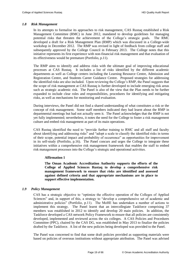#### <span id="page-20-0"></span>*1.8 Risk Management*

In its attempts to formalise its approaches to risk management, CAS Rustaq established a Risk Management Committee (RMC) in June 2012, mandated to develop guidelines for managing potential risks that threaten the achievement of the College's strategic goals. The RMC developed a draft for a Risk Management Plan (RMP) which was discussed in a College-wide workshop in December 2012. The RMP was revised in light of feedback from college staff and subsequently approved by the College Council in February 2013. The College notes that this initiative represents its first experience with non-financial risk management and that evaluation of its effectiveness would be premature (Portfolio, p.11).

The RMP aims to identify and address risks with the ultimate goal of improving educational processes at CAS Rustaq. It includes a list of risks identified by the different academic departments as well as College centers including the Learning Resource Centre, Admission and Registration Centre, and Students Career Guidance Centre. Proposed strategies for addressing the identified risks are also included. Upon reviewing the College's RMP, the Panel suggests that the scope of risk management at CAS Rustaq is further developed to include emerging risk areas such as strategic academic risk. The Panel is also of the view that the Plan needs to be further expanded to include clear roles and responsibilities, procedures for identifying and mitigating risks, as well as mechanisms for monitoring and evaluation.

During interviews, the Panel did not find a shared understanding of what constitutes a risk or the concept of risk management. Some staff members indicated they had learnt about the RMP in departmental meetings but had not actually seen it. The Panel acknowledges that the RMP is not yet fully implemented; nevertheless, it notes the need for the College to foster a risk management culture and embed risk management as part of its main operations.

CAS Rustaq identified the need to "provide further training to RMC and all staff and faculty about identifying and addressing risks" and "adopt a scale to classify the identified risks in terms of their scope, potential impact and probability of occurrence" as opportunities for improvement in its self-study (Portfolio, p.16). The Panel concurs and urges the College to integrate these initiatives within a comprehensive risk management framework that enables the staff to embed risk management processes into the College's strategic and operational activities.

# **Affirmation 1**

<span id="page-20-2"></span>**The Oman Academic Accreditation Authority supports the efforts of the College of Applied Sciences Rustaq to develop a comprehensive risk management framework to ensure that risks are identified and assessed against defined criteria and that appropriate mechanisms are in place to support effective implementation.**

# <span id="page-20-1"></span>*1.9 Policy Management*

CAS has a strategic objective to "optimize the effective operation of the Colleges of Applied Sciences" and, in support of this, a strategy to "develop a comprehensive set of academic and administrative policies" (Portfolio, p.11). The MoHE has undertaken a number of actions to implement this strategy. The Panel learnt that an intercollegiate Taskforce comprising 37 members was established in 2012 to identify and develop 20 main policies. In addition, the Taskforce developed a CAS network Policy Framework to ensure that all policies are consistently developed, implemented and reviewed across the six colleges. A CAS Policies and Procedures Committee (PPC), chaired by the CAS DG, was established in May 2013 to finalize the policies drafted by the Taskforce. A list of the new policies being developed was provided to the Panel.

The Panel was concerned to find that some draft policies provided as supporting materials were based on policies of overseas institutions without appropriate attribution. The Panel was advised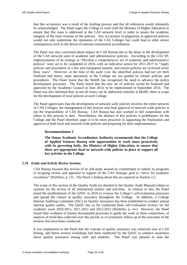that this occurrence was a result of the drafting process and that all references would ultimately be acknowledged. The Panel urges the College to work with the Ministry of Higher Education to ensure that this issue is addressed at the CAS network level in order to assure the academic integrity of the final versions of the policies. Any occurrence of plagiarism in approved policies would not only undermine the reputation of the CAS Colleges but could lead to other severe consequences such as the denial of national institutional accreditation.

The Panel was also concerned about impact on CAS Rustaq due to the delay in the development of the CAS network suite of academic and administrative policies. According to the CAS SP, implementation of its strategy to "Develop a comprehensive set of academic and administrative policies" were set to be completed in 2010, with an indicative action for 2011-2015 to "Apply policies and procedures in a fair and transparent manner, and ensure policies are reviewed every three years". However, at the time of the audit visit, the identified policies had not yet been finalized and hence, main operations at the College are not guided by formal policies and procedures. The Panel learnt that the MoHE has recognised the need to advance the policy development processes. The Panel heard that the new set of policies would be finalised and approved by the Academic Council in June 2014, to be implemented in September 2014. The Panel was also informed that, as not all issues can be addressed centrally at MoHE, there is scope for the development of local policies at each College.

The Panel appreciates that the development of network-wide policies involves the entire network of CAS Colleges; the management of this process and final approval of network-wide policies is not the responsibility of CAS Rustaq. CAS Rustaq has also worked in full cooperation with others in this process to date. Nevertheless, the absence of key policies is problematic for the College and the Panel therefore urges it to be more proactive in supporting the finalisation and approval of both local and network-wide policies and preparing for their implementation.

#### **Recommendation 3**

<span id="page-21-1"></span>**The Oman Academic Accreditation Authority recommends that the College of Applied Sciences Rustaq seek opportunities to work more proactively with its governing body, the Ministry of Higher Education, to ensure that there are appropriate local or network-wide policies in place to support all key activites in the College.** 

# <span id="page-21-0"></span>*1.10 Entity and Activity Review Systems*

CAS Rustaq focused this section of its self-study around its commitment to submit its programs to on-going review and appraisal in support of the CAS strategic goal to "strive for academic excellence" (Portfolio, p. 12). The Panel's finding about this are reported in Section [2.2.](#page-25-0)

The scope of this section of the Quality Audit (as detailed in the Quality Audit Manual) relates to systems for the review of all institutional entities and activities. In relation to this, the Panel noted the establishment of the QASC in 2010 to oversee the College's self-evaluation processes and spread the culture of quality assurance throughout the College. In addition, a College Internal Auditing Committee (IAC) on Quality Assurance has been established to conduct annual internal quality audits. The QASC has so far conducted three self-evaluation reviews for the academic years 2010-2011, 2011-2012 and 2012-2013 (Portfolio, p. xiv). However, the Panel found little evidence of formal documented processes to guide the work of these committees, of analysis of trend data collected over this period, or of systematic follow up of the outcomes of the reviews that have been conducted.

It was emphasised to the Panel that the concept of quality assurance was relatively new at CAS Rustaq, and hence several workshops had been conducted by the QASC to enhance awareness about quality assurance among staff and students. The Panel was pleased to note the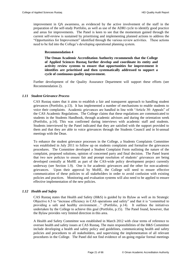improvement in QA awareness, as evidenced by the active involvement of the staff in the preparation of the self-study Portfolio, as well as use of the ADRI cycle to identify good practice and areas for improvements. The Panel is keen to see that the momentum gained through the current self-review is sustained by prioritising and implementing planned actions to address the "Opportunities for Improvement" identified through the various review activities. These actions need to be fed into the College's developing operational planning system.

# <span id="page-22-3"></span>**Recommendation 4**

<span id="page-22-2"></span>**The Oman Academic Accreditation Authority recommends that the College of Applied Sciences Rustaq further develop and coordinate its entity and activity review systems to ensure that opportunities for improvement it identifies are prioritised and then systematically addressed to support a cycle of continuous quality improvement.** 

Further development of the Quality Assurance Department will support these efforts (see [Recommendation 2\)](#page-17-2).

#### <span id="page-22-0"></span>*1.11 Student Grievance Process*

CAS Rustaq states that it aims to establish a fair and transparent approach to handling student grievances (Portfolio, p.13). It has implemented a number of mechanisms to enable students to voice their complaints. Academic grievances are handled in line with "Article 30: Appeals" of the CAS Academic Regulations. The College claims that these regulations are communicated to students in the Students Handbook, through academic advisors and during the orientation week (Portfolio, p.14). This was confirmed during interviews with academic staff and students. Students interviewed by the Panel indicated that they are satisfied with the support provided to them and that they are able to voice grievances through the Students Council and in bi-annual meetings with the Dean.

To enhance the student grievance processes in the College, a Students Complaints Committee was established in July 2011 to follow up on students complaints and formalise the grievances procedures. The Committee developed a Student Complaint Form outlining the nature of the complaint, proposed solutions, opinion of concerned party and final decision. The Panel learnt that two new policies to ensure fair and prompt resolution of students' grievances are being developed centrally at MoHE as part of the CAS-wide policy development project currently underway (see Section [1.9\)](#page-20-1). One is for academic grievances and the other for non-academic grievances. Upon their approval by MoHE, the College will need to ensure effective communication of these policies to all stakeholders in order to avoid confusion with existing policies and practices. Monitoring and evaluation systems will also need to be applied to ensure effective implementation of the new policies.

# <span id="page-22-1"></span>*1.12 Health and Safety*

CAS Rustaq states that Health and Safety (H&S) is guided by its Bylaw as well as its Strategic Objective 6.5 to "increase efficiency in CAS operations and safety" and that it is "committed to providing a safe and healthy environment…" (Portfolio, p.14). It outlines the initiatives undertaken by the College to achieve this goal (Portfolio, p.15). The Panel found, however, that the Bylaw provides very limited direction in this area.

A Health and Safety Committee was established in March 2012 with clear terms of reference to oversee health and safety issues at CAS Rustaq. The main responsibilities of the H&S Committee include developing a health and safety policy and guidelines, communicating health and safety policies and procedures to all stakeholders, and supervising the implementation of all relevant procedures in the College. The Panel did not find evidence of on-going regular formal meetings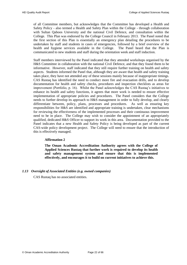of all Committee members, but acknowledges that the Committee has developed a Health and Safety Policy - also termed a Health and Safety Plan within the College - through collaboration with Sultan Qaboos University and the national Civil Defence, and consultation within the College. This Plan was endorsed by the College Council in February 2013. The Panel noted that the first section of this Plan is essentially an emergency plan detailing the procedures to be undertaken by staff and students in cases of emergencies, followed by a brief overview of the health and hygiene services available in the College. The Panel heard that the Plan is communicated to new students and staff during the orientation week and staff induction.

Staff members interviewed by the Panel indicated that they attended workshops organised by the H&S Committee in collaboration with the national Civil Defence, and that they found them to be informative. However, staff indicated that they still require further training on health and safety aspects. Students informed the Panel that, although they are aware that health and safety training takes place, they have not attended any of these sessions mainly because of inappropriate timings. CAS Rustaq has identified the need to conduct more fire and evacuation drills, and to develop documentation for health and safety checks, procedures and inspection checklists as areas for improvement (Portfolio, p. 16). Whilst the Panel acknowledges the CAS Rustaq's initiatives to enhance its health and safety functions, it agrees that more work is needed to ensure effective implementation of appropriate policies and procedures. The Panel considers that the College needs to further develop its approach to H&S management in order to fully develop, and clearly differentiate between, policy, plans, processes and procedures. As well as ensuring key responsibilities for H&S are identified and appropriate training is undertaken, clear mechanisms for reviewing the effectiveness of the implemented processes and their continuous improvement need to be in place. The College may wish to consider the appointment of an appropriately qualified, dedicated H&S Officer to support its work in this area. Documentation provided to the Panel indicates that a new Health and Safety Policy is being developed as part of the current CAS-wide policy development project. The College will need to ensure that the introduction of this is effectively managed.

# <span id="page-23-2"></span>**Affirmation 2**

<span id="page-23-1"></span>**The Oman Academic Accreditation Authority agrees with the College of Applied Sciences Rustaq that further work is required to develop its health and safety management system and ensure that this is implemented effectively, and encourages it to build on current initiatives to achieve this.** 

# <span id="page-23-0"></span>*1.13 Oversight of Associated Entities (e.g. owned companies)*

CAS Rustaq has no associated entities.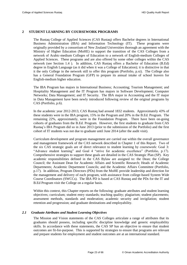# <span id="page-24-0"></span>**2 STUDENT LEARNING BY COURSEWORK PROGRAMS**

The Rustaq College of Applied Sciences (CAS Rustaq) offers Bachelor degrees in International Business Administration (IBA) and Information Technology (IT). These programs were originally provided by a consortium of New Zealand Universities thorough an agreement with the Ministry of Higher Education (MoHE) to support the transition of the CAS Colleges from a network of Arabic-medium Colleges of Education to a network of English-medium Colleges of Applied Sciences. These programs and are also offered by some other colleges within the CAS network (see Section [1.4](#page-17-0) ). In addition, CAS Rustaq offers a Bachelor of Education (B.Ed) degree in English Language (as it did when it was a College of Education); it is distinctive in that it the only College in the network still to offer this program (Portfolio, p.xi). The College also has a General Foundation Program (GFP) to prepare its annual intake of school leavers for English-medium higher education.

The IBA Program has majors in International Business; Accounting; Tourism Management; and Hospitality Management and the IT Program has majors in Software Development; Computer Networks; Data Management; and IT Security. The IBA major in Accounting and the IT major in Data Management have been newly introduced following review of the original programs by CAS (Portfolio, p.6).

In the academic year 2012-2013, CAS Rustaq had around 1832 students. Approximately 43% of these students were in the IBA program, 15% in the Program and 20% in the B.Ed. Program. The remaining 22%, approximately, were in the Foundation Program. There have been on-going cohorts of graduates from the B.Ed. Program. However, the first students to graduate from CAS Rustaq's IBA Program did so in June 2013 (prior to the submission of the Portfolio) and the first cohort of IT students was not due to graduate until June 2014 (after the audit visit).

Curriculum development and program management are carried out within the overall governance and management framework of the CAS network described in Chapter [1](#page-13-0) of this Report. Two of the six CAS strategic goals are of direct relevance to student learning by coursework: Goal 3: "Advance student learning" and Goal 4 "strive for academic excellence" (Portfolio, p.17). Comprehensive strategies to support these goals are detailed in the CAS Strategic Plan (SP). Key academic responsibilities defined in the CAS Bylaw are assigned to: the Dean; the College Council; the Assistant Dean for Academic Affairs and Scientific Research; Heads of Academic Departments; Academic Department Councils; and the Academic Affairs Committee (Portfolio, p.17). In addition, Program Directors (PDs) from the MoHE provide leadership and direction for the management and delivery of each program, with assistance from college-based System Wide Course Coordinators (SWCCs). The IBA PD is based at CAS Rustaq and the PDs for the IT and B.Ed Program visit the College on a regular basis.

Within this context, this Chapter reports on the following: graduate attributes and student learning objectives; curriculum; student entry standards; teaching quality; plagiarism; student placements; assessment methods, standards and moderation; academic security and invigilation; student retention and progression; and graduate destinations and employability.

# <span id="page-24-1"></span>*2.1 Graduate Attributes and Student Learning Objectives*

The Mission and Vision statements of the CAS Colleges articulate a range of attributes that its graduates should possess, including specific discipline knowledge and generic employability skills. In accordance with these statements, the CAS SP has an objective to ensure that student outcomes are fit-for-purpose. This is supported by strategies to ensure that programs are relevant and prepare students for employment and student outcomes are at an international standard.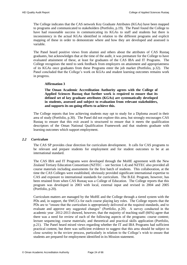The College indicates that the CAS network Key Graduate Attributes (KGAs) have been mapped to programs and communicated to stakeholders (Portfolio, p.19). The Panel found the College to have had reasonable success in communicating its KGAs to staff and students but there is inconsistency in the actual KGAs identified in relation to the different programs and explicit mapping of these in order to demonstrate where and how they are developed and assessed is variable.

The Panel heard positive views from alumni and others about the attributes of CAS Rustaq graduates, but acknowledges that at the time of the audit, it was premature for the College to have evaluated attainment of these, at least for graduates of the CAS IBA and IT Programs. The College recognises the need to seek feedback from employers on attainment and appropriateness of its KGAs once graduates from these Programs enter the job market (Portfolio, p.32). The Panel concluded that the College's work on KGAs and student learning outcomes remains work in progress.

#### **Affirmation 3**

<span id="page-25-1"></span>**The Oman Academic Accreditation Authority agrees with the College of Applied Sciences Rustaq that further work is required to ensure that its defined set of key graduate attributes (KGAs) are systematically developed in students, assessed and subject to evaluation from relevant stakeholders, and supports its on-going efforts to achieve this.** 

The College reports that low achieving students may opt to study for a Diploma award in their area of study (Portfolio, p.30). The Panel did not explore this area, but strongly encourages CAS Rustaq to ensure that this exit award is structured to ensure that it meets the qualification descriptors of the Oman National Qualification Framework and that students graduate with learning outcomes which support employment.

#### <span id="page-25-0"></span>*2.2 Curriculum*

The CAS SP provides clear direction for curriculum development. It calls for CAS programs to be relevant and prepare students for employment and for student outcomes to be at an international standard.

The CAS IBA and IT Programs were developed through the MoHE agreement with the New Zealand Tertiary Education Consortium (NZTEC – see Section [1.4\)](#page-17-0) and NZTEC also provided all course materials including assessments for the first batch of students. This collaboration, at the time the CAS Colleges were established, obviously provided significant international expertise to CAS and exposure to international standards for curriculum. The B.Ed. Program, however, has been retained from when CAS Rustaq was a College of Education. The College reports that this program was developed in 2003 with local, external input and revised in 2004 and 2005 (Portfolio, p.20).

Curriculum matters are managed by the MoHE and the College through a tiered system with the PDs and, in support, the SWCCs for each course playing key roles. The College reports that the PDs are to "ensure that the curriculum is appropriately delivered at the required standards, and to evaluate and approve any suggested changes" (Portfolio, p.20). A survey conducted in the academic year 2012-2013 showed, however, that the majority of teaching staff (66%) agree that there was a need for review of each of the following aspects of the programs: course content; lecture sequencing; course materials; and theoretical and practical skills application (Portfolio, p.21). The Panel heard mixed views regarding whether the IT and IBA Programs had sufficient practical content, but there was sufficient evidence to suggest that this area should be subject to close scrutiny in the review process, particularly in relation to the College's wish to ensure that students are prepared for employment identified in its Mission statement.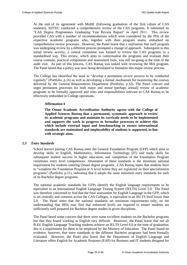At the end of its agreement with MoHE (following graduation of the first cohort of CAS students), NZTEC conducted a comprehensive review of the CAS programs. It submitted its "CAS Degree Programmes Graduating Year Review Report" in April 2011. This review provided CAS with a number of recommendations which were considered by the PDs of the respective academic programs who, together with their program teams, embarked on comprehensive review processes. However, the Panel learnt that a realisation that each program was undergoing review by a different process prompted a change of approach. Subsequent to this initial review activity, a central committee was formed to review the CAS programs in a standardised way. This review, which aims to contextualise the programs and evaluate their course contents, practical components and assessment tools, was still on-going at the time of the audit visit. As part of this process, CAS Rustaq was tasked with reviewing the IBA program. The Panel heard that a policy was now being developed to formalise this major review process.

The College has identified the need to "develop a permanent review process to be conducted regularly" (Portfolio, p.16) as well as developing a formal mechanism for monitoring the courses delivered by the General Requirements Department (Portfolio, p.32). The Panel concurs and urges permanent processes for both major and minor (perhaps annual) review of academic programs to be formally approved and roles and responsibilities relevant to CAS Rustaq to be effectively embedded in College operations.

# **Affirmation 4**

<span id="page-26-1"></span>**The Oman Academic Accreditation Authority agrees with the College of Applied Sciences Rustaq that a permanent, systematic approach to review its academic programs and maintain its curricula needs to be implemented and supports the work in progress to formalise processes to achieve this which include external input and benchmarking to ensure international standards are maintained and employability of students is supported, in line with strategic aims.** 

# <span id="page-26-0"></span>*2.3 Entry Standards*

School leavers joining CAS Rustaq enter the General Foundation Program (GFP) which aims to develop skills in English, Mathematics, Information Technology (IT) and study skills for subsequent student success in higher education, and completion of the Foundation Program constitutes entry level competences. Attainment of these standards is the minimum national requirement for students entering Omani degree programs. CAS Rustaq states that students have to "complete the Foundation Program at A level before they are registered on their specialization programs" (Portfolio, p.21), indicating that it adopts the same minimum entry standards for each of its Bachelor degree programs.

The national academic standards for GFPs identify the English language requirements to be equivalent to an International English Language Testing System (IELTS) Level 5.0. The Panel was therefore concerned to find that the final assessment for English Language in the GFP, which is set centrally and common across the CAS Colleges, is equivalent to an IELTS level lower than 5.0. The Panel notes that the national standards set minimum requirements only, on the understanding that HEIs may find that enhanced levels are required to ensure students are sufficiently well prepared for Bachelor degree studies in given disciplines.

The Panel heard some concern that there were some excellent students on the Bachelor programs but that they found working in English very difficult. Moreover, the Panel learnt that not all B.Ed. English Language Teaching students achieve an IELTS Level 6.0 at the time of graduation; this is a requirement for them to be employed by the Ministry of Education. The Panel found no evidence, however, that entry standards to the different Bachelor programs had been formally evaluated. However, the Panel also learnt that the Department of English Language and Literature offers English for Academic Purposes (EAP) for Business and IT students designed for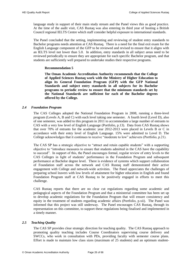language study in support of their main study stream and the Panel views this as good practice. At the time of the audit visit, CAS Rustaq was also entering its third year of hosting a British Council regional IELTS Centre which staff consider helpful exposure to international standards.

The Panel concluded that the setting, implementing and reviewing of student entry standards to Bachelor programs needs attention at CAS Rustaq. There is a need for the final exit exam for the English Language component of the GFP to be reviewed and revised to ensure that it aligns with an IELTS level not lower than 5.0. In addition, entry standards in all subject areas need to be reviewed periodically to ensure they are appropriate for each specific Bachelor program, and that students are sufficiently well prepared to undertake studies their respective programs.

# **Recommendation 5**

<span id="page-27-2"></span>**The Oman Academic Accreditation Authority recommends that the College of Applied Sciences Rustaq work with the Ministry of Higher Education to align its General Foundation Program (GFP) with the GFP National Standards and subject entry standards in all subjects for its Bachelor programs to periodic review to ensure that the minimum standards set by the National Standards are sufficient for each of the Bachelor degrees offered by the College.** 

# <span id="page-27-0"></span>*2.4 Foundation Program*

The CAS Colleges adopted the National Foundation Program in 2008, running a three-level program (Levels A, B and C) with each level taking one semester. A fourth level (Level D), also of one semester, was added to this program in 2011 to accommodate a large number of entrants to CAS with a very low level of English Language (Portfolio, p.13). Data from CAS Rustaq shows that over 70% of entrants for the academic year 2012-2013 were placed in Levels B or C in accordance with their entry level of English Language. 15% were admitted to Level D. The College acknowledges that it continues to receive "moderate to low" achievers (Portfolio, p.21).

The CAS SP has a strategic objective to "attract and retain capable students" with a supporting objective to "introduce measures to ensure that students admitted in the CAS have the capability to succeed". In support of this, the Panel encourages formal, regular review of entry levels to the CAS Colleges in light of students' performance in the Foundation Program and subsequent performance at Bachelor degree level. There is evidence of systems which support collaboration of Foundation staff across the network and CAS Rustaq staff demonstrated their active engagement with College and network-wide activities. The Panel appreciates the challenges of preparing school leavers with low levels of attainment for higher education in English and found Foundation Program staff at CAS Rustaq to be positively engaged in efforts to meet this challenge.

CAS Rustaq reports that there are no clear cut regulations regarding some academic and pedagogical aspects of the Foundation Program and that a ministerial committee has been set up to develop academic regulations for the Foundation Program that will ensure consistency and equity in the treatment of students regarding academic affairs (Portfolio, p.xii). The Panel was informed that this project was still underway. The Panel encourages CAS Rustaq, through its representation on this committee, to support these regulations being finalised and implemented in a timely manner.

# <span id="page-27-1"></span>*2.5 Teaching Quality*

The CAS SP provides clear strategic direction for teaching quality. The CAS Rustaq approach to promoting quality teaching includes Course Coordinators supervising course delivery and SWCCs, who work in consultation with PDs, providing faculty with semester course plans. Effort is made to maintain low class sizes (maximum of 25 students) and an optimum student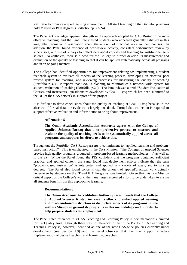staff ratio to promote a good learning environment. All staff teaching on the Bachelor programs hold Masters or PhD degrees. (Portfolio, pp. 23-24)

The Panel acknowledges apparent strength in the approach adopted by CAS Rustaq to promote effective teaching, and the Panel interviewed students who appeared generally satisfied in this area, albeit some with reservation about the amount of practical work in their courses. In addition, the Panel found evidence of peer-review activity, consistent performance review by supervisors, and use of surveys to collect data about courses and teaching for institutional selfstudies. Nevertheless, there is a need for the College to further develop its measurement and evaluation of the quality of teaching so that it can be applied systematically across all programs and in an ongoing manner.

The College has identified opportunities for improvement relating to: implementing a student feedback system to evaluate all aspects of the learning process; developing an effective peer review system for teaching; and reviewing processes for measuring the quality of teaching (Portfolio p.32). It reports that CAS is planning to re-introduce a network-wide system for student evaluation of teaching (Portfolio, p.24). The Panel viewed a draft "Student Evaluation of Courses and Instructors" questionnaire developed by CAS Rustaq which has been submitted to the DG of the CAS network in support of this project.

It is difficult to draw conclusions about the quality of teaching at CAS Rustaq because in the absence of formal data, the evidence is largely anecdotal. Formal data collection is required to support effective evaluation and inform action to bring about improvement.

#### **Affirmation 5**

**The Oman Academic Accreditation Authority agrees with the College of Applied Sciences Rustaq that a comprehensive process to measure and evaluate the quality of teaching needs to be systematically applied across all programs and supports its efforts to achieve this.**

<span id="page-28-0"></span>Throughout the Portfolio, CAS Rustaq asserts a commitment to "applied learning and problembased instruction". This is emphasised in the CAS Mission: "The Colleges of Applied Sciences provide high quality programs grounded in problem-based learning methodologies …" as well as in the SP. While the Panel found the PDs confident that the programs contained sufficient practical and applied content, the Panel found that deployment efforts indicate that the term "problem-based instruction" is interpreted and applied in a variety of ways, and to varying degrees. The Panel also found concerns that the amount of applied/practical work actually undertaken by students on the IT and IBA Programs was limited. Given that this is a Mission critical aspect of the College's work, the Panel urges increased effort to be undertaken to ensure all students benefit from this approach to learning.

#### **Recommendation 6**

<span id="page-28-1"></span>**The Oman Academic Accreditation Authority recommends that the College of Applied Sciences Rustaq increase its efforts to embed applied learning and problem-based instruction as distinctive aspects of its programs in line with its Mission to ground its programs in this methodology and in order to help prepare students for employment.** 

The Panel noted reference to a CAS Teaching and Learning Policy in documentation submitted for the Quality Audit although there was no reference to this in the Portfolio. A Learning and Teaching Policy is, however, identified as one of the new CAS-wide policies currently under development (see Section [1.9\)](#page-20-1) and the Panel observes that this may support effective implementation of desired teaching and learning approaches.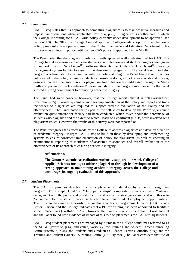# <span id="page-29-0"></span>*2.6 Plagiarism*

CAS Rustaq states that its approach to combating plagiarism is to take proactive measures and impose harsh sanctions where applicable (Portfolio, p.25). Plagiarism is another area in which the College is waiting for a CAS-wide policy currently under development to be approved (see Section [1.9\)](#page-20-1). In 2012 the College Council approved College-wide adoption of a Plagiarism Policy previously developed and used in the English Language and Literature Department. This is to serve as an interim policy until the new CAS policy is approved by the MoHE.

The Panel noted that the Plagiarism Policy currently appeared well contextualized for CAS. The College has taken measures to educate students about plagiarism and staff training has been given to support use of SafeAssign<sup>TM</sup> software through the College's Blackboard<sup>TM</sup> learning management system facility to assist in the detection of plagiarism. The Panel found Bachelor program academic staff to be familiar with the Policy although the Panel heard about practices not covered in the Policy whereby students can resubmit drafts, as part of an educational process, ensuring that the final submission is plagiarism free. Plagiarism is addressed through the Study Skills component of the Foundation Program and staff on this program interviewed by the Panel showed a strong commitment to promoting academic integrity.

The Panel had some concern, however, that the College reports that it is "plagiarism-free" (Portfolio, p.25). Formal systems to monitor implementation of the Policy and report and track incidences of plagiarism are required to support credible evaluation of the Policy and its effectiveness. The Panel noted that as part of the self-study to develop the Portfolio, a course evaluation questionnaire for faculty had been conducted which asked about the percentage of students who plagiarise and the extent to which Heads of Department (HoDs) were involved with plagiarism issues. However, the results of this survey were not reported on.

The Panel recognises the efforts made by the College to address plagiarism and develop a culture of academic integrity. It urges CAS Rustaq to build on these by developing and implementing systems to ensure consistent implementation of policy for plagiarism (as well as cheating in examinations), reporting of incidences of academic misconduct, and overall evaluation of the effectiveness of its approach to ensuring academic integrity.

# **Affirmation 6**

**The Oman Academic Accreditation Authority supports the work College of Applied Sciences Rustaq to address plagiarism through its development of a strong approach to maintaining academic integrity across the College and encourages its ongoing evaluation of this approach.** 

# <span id="page-29-2"></span><span id="page-29-1"></span>*2.7 Student Placements*

The CAS SP provides direction for work placements undertaken by students during their program. For example, Goal 5 to: "Build partnerships" is supported by an objective to "enhance engagement with the public and private sector" and one of the strategies associated with this is to "operate an effective student placement function to optimize student employment opportunities". The SP identifies many responsibilities in this area for a Programme Director (PD), Private Sector Liaison, and the College indicates that a PD for training has been appointed to facilitate student placements (Portfolio, p.26). However, the Panel's request to meet this PD was not met and the Panel found little evidence of impact of this role on placements for CAS Rustaq students.

CAS Rustaq student placements are managed by a unit in the College sometimes referred to as the SGGC (Portfolio, p.44) and called, variously: the Training and Student Career Counseling Centre (Portfolio, p.44); the Students and Graduates Guidance Centre (Portfolio, p.ix); and the Training and Student Careers Counseling Centre (CAS Bylaw). (The Panel considers that use of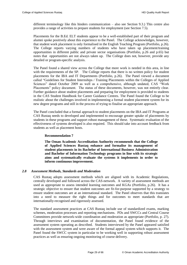different terminology like this hinders communication – also see Section [9.3.](#page-60-1)) This centre also provides a range of activities to prepare students for employment (see Section [7.5\)](#page-51-0).

Placements for the B.Ed. ELT students appear to be a well-established part of their program and alumni spoke positively about this experience to the Panel. The College acknowledges, however, that student work placement is only formalised in the English Teaching Program (Portfolio, p.26). The College reports varying numbers of students who have taken up placement/training opportunities in different public and private sector organisations (Portfolio, p.26 and p.65) but notes that opportunities are not always taken up. The College does not, however, provide any detailed or program-specific analysis.

The Panel found a shared view across the College that more work is needed in this area, in line with the requirements of the SP. The College reports that there is no written policy for student placements for the IBA and IT Departments (Portfolio, p.26). The Panel viewed a document called "Guidelines for Student Internships / Training Placements within the Colleges of Applied Sciences" dated October 2009 as well as a comprehensive, although undated, CAS "Work Placements" policy document. The status of these documents, however, was not entirely clear. Further guidance about student placements and preparing for employment is provided to students in the CAS Student Handbook for Career Guidance Centres. The Panel found the College to be realistic about the challenges involved in implementing a formal student placement system for its new degree programs and still in the process of trying to finalise an appropriate approach.

The Panel concluded that a formal approach to student placements on the IBA and IT Programs at CAS Rustaq needs to developed and implemented to encourage greater uptake of placements by students in these programs and support robust management of these. Systematic evaluation of the effectiveness of systems developed is also required. This should take into account feedback from students as well as placement hosts.

# <span id="page-30-2"></span>**Recommendation 7**

<span id="page-30-1"></span>**The Oman Academic Accreditation Authority recommends that the College of Applied Sciences Rustaq enhance and formalise its management of student placements in its Bachelor of International Business Administration and Bachelor of Information Technology programs in line with its strategic aims and systematically evaluate the systems it implements in order to inform continuous improvement.** 

# <span id="page-30-0"></span>*2.8 Assessment Methods, Standards and Moderation*

CAS Rustaq adopts assessment methods which are aligned with its Academic Regulations, centrally developed and followed across the CAS-network. A variety of assessment methods are used as appropriate to assess intended learning outcomes and KGAs (Portfolio, p.26). It has a strategic objective to ensure that student outcomes are fit-for-purpose supported by a strategy to ensure student outcomes are at an international standard. The Panel observes that this translates into a need to measure the right things and for outcomes to meet standards that are internationally-recognised and rigorously assessed.

The standard assessment practices at CAS Rustaq include use of standardized exams, marking schemes, moderation processes and reporting mechanisms. PDs and SWCCs and Central Course Committees provide network-wide coordination and moderation as appropriate (Portfolio, p. 27). Through interviews and examination of documentation, the Panel found evidence of the assessment system operating as described. Students interviewed by the Panel appeared satisfied with the assessment system and were aware of the formal appeal system which supports it. The Panel found the SWCC system in particular to be working well in supporting robust assessment practices as well as ensuring ongoing monitoring of course delivery.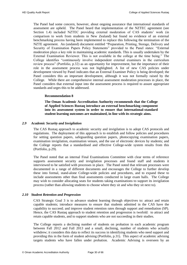The Panel had some concern, however, about ongoing assurance that international standards of assessment are upheld. The Panel heard that implementation of the NZTEC agreement (see Section [1.4\)](#page-17-0) included NZTEC providing external moderation of CAS students' work (in comparison to work from students in New Zealand) but found no evidence of an external benchmarking process having been implemented to replace this following the termination of the NZTE agreement. An (undated) document entitled "Preparation, Printing, Storage, Delivery and Security of Examination Papers Policy Statements" provided to the Panel states: "External moderation plays a key role in maintaining academic standards. This is usually undertaken by the External Examination Reviewer. This is not available in the college at the time being." The College identifies "continuously involve independent external examiners in the curriculum review process" (Portfolio, p.32) as an opportunity for improvement, but the importance of their role in the assessment process was not highlighted. A list of new CAS policies under development viewed by Panel indicates that an External Examiner Policy is being developed; the Panel considers this an important development, although it was not formally raised by the College. While there are comprehensive internal assessment moderation processes in place, the Panel considers that external input into the assessment process is required to assure appropriate standards and urges this to be addressed.

#### <span id="page-31-3"></span>**Recommendation 8**

**The Oman Academic Accreditation Authority recommends that the College of Applied Sciences Rustaq introduce an external benchmarking component into its assessment system in order to ensure that international-standard student learning outcomes are maintained, in line with its strategic aims.** 

# <span id="page-31-2"></span><span id="page-31-0"></span>*2.9 Academic Security and Invigilation*

The CAS Rustaq approach to academic security and invigilation is to adopt CAS protocols and regulations. The deployment of this approach is to establish and follow policies and procedures for setting question papers, safeguarding question papers, photocopying examination papers, examination invigilation, examination venues, and the use of electronic devices by students; and the College reports that a standardised and effective College-wide system results from this (Portfolio, p.29).

The Panel noted that an internal Final Examinations Committee with clear terms of reference supports assessment security and invigilation processes and found staff and students it interviewed to be satisfied with processes in place. The Panel noted that relevant processes were documented in a range of different documents and encourages the College to further develop these into formal, stand-alone College-wide policies and procedures, and to expand these to include assessments other than final assessments conducted in large exam halls. The College may wish to consider allocating seats for students taking examinations to support its invigilation process (rather than allowing students to choose where they sit and who they sit next to).

# <span id="page-31-1"></span>*2.10 Student Retention and Progression*

CAS Strategic Goal 3 is to advance student learning through objectives to: attract and retain capable students; introduce measures to ensure that students admitted in the CAS have the capability to succeed; and improve student retention rates through support and remediation (SP). Hence, the CAS Rustaq approach to student retention and progression is twofold: to attract and retain capable students, and to support students who are not succeeding in their studies.

The College reports a declining number of students on probation in each academic program between Fall 2012 and Fall 2013 and a small, declining, number of students who actually withdrew; it considers this data to reflect its success in identifying students who need support and providing this in the form of student advising (Portfolio, p.31). This aspect of academic advising targets students who have fallen under probation. Academic Advising is overseen by an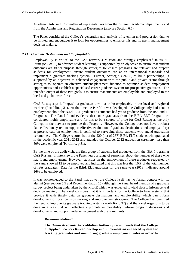Academic Advising Committee of representatives from the different academic departments and from the Admissions and Registration Department (also see Section [6.5\)](#page-46-1).

The Panel considered the College's generation and analysis of retention and progression data to be limited and encourages it to look for opportunities to enhance this and its use in management decision making.

# <span id="page-32-0"></span>*2.11 Graduate Destinations and Employability*

Employability is critical to the CAS network's Mission and strongly emphasised in its SP. Strategic Goal 3, to advance student learning, is supported by an objective to ensure that student outcomes are fit-for-purpose through strategies to: ensure programs are relevant and prepare students for employment; ensure student outcomes are at an international standard: and implement a graduate tracking system. Further, Strategic Goal 5, to build partnerships, is supported by an objective to enhanced engagement with the public and private sector through strategies to: operate an effective student placement function to optimise student employment opportunities and establish a specialised career guidance system for prospective graduates. The intended output of these two goals is to ensure that students are employable and employed in the local and global workforce.

CAS Rustaq says it "hopes" its graduates turn out to be employable in the local and regional markets (Portfolio, p.31). At the time the Portfolio was developed, the College only had data on employment about the B.Ed. ELT graduates as students had yet to graduate from the IBA and IT Programs. The Panel found evidence that some graduates from the B.Ed. ELT Program are considered highly employable and for this to be a source of pride for CAS Rustaq as the only College in the network to provide this Program. However, the College does not have a robust data collection system to support effective evaluation of graduate destinations and employability; at present, data on employment is confined to surveying those students who attend graduation ceremonies. The College reports that of the 220 (out of 287) B.Ed. ELT students who graduated in the academic year 2011-2012 and attended the October 2012 graduation ceremony, less than 50% were employed (Portfolio, p.31).

By the time of the audit visit, the first group of students had graduated from the IBA Program at CAS Rustaq. In interviews, the Panel heard a range of responses about the number of these who had found employment. However, statistics on the employment of these graduates requested by the Panel showed 12 to be employed and indicated that this was less that 10% of the total number of IBA graduates. Data for the B.Ed. ELT graduates for the same year (2013) indicated around 16% to be employed.

It was acknowledged to the Panel that as yet the College itself has no formal contact with its alumni (see Section [5.5](#page-41-1) an[d Recommendation 15\)](#page-42-3) although the Panel heard mention of a graduate survey project being undertaken by the MoHE which was expected to yield data to inform central decision making. The Panel considers that it is important for the College to have systems that provide it with timely data on graduate destinations and employability which can inform development of local decision making and improvement strategies. The College has identified the need to improve its graduate tracking system (Portfolio, p.32) and the Panel urges this to be done in a way that will effectively promote employability, inform program decisions and developments and support wider engagement with the community.

# **Recommendation 9**

<span id="page-32-1"></span>**The Oman Academic Accreditation Authority recommends that the College of Applied Sciences Rustaq develop and implement an enhanced system for tracking graduates and monitoring graduate employment rates in order to**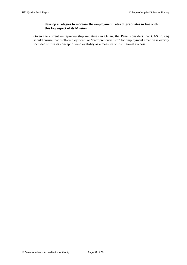# **develop strategies to increase the employment rates of graduates in line with this key aspect of its Mission.**

Given the current entrepreneurship initiatives in Oman, the Panel considers that CAS Rustaq should ensure that "self-employment" or "entrepreneurialism" for employment creation is overtly included within its concept of employability as a measure of institutional success.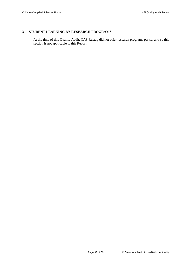# <span id="page-34-0"></span>**3 STUDENT LEARNING BY RESEARCH PROGRAMS**

At the time of this Quality Audit, CAS Rustaq did not offer research programs per se, and so this section is not applicable to this Report.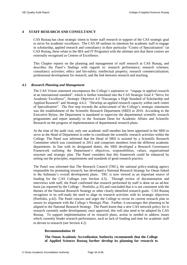# <span id="page-35-0"></span>**4 STAFF RESEARCH AND CONSULTANCY**

CAS Rustaq has clear strategic intent to foster staff research in support of the CAS strategic goal to strive for academic excellence. The CAS SP outlines its intention for academic staff to engage in scholarship, applied research and consultancy in their particular "Centre of Specialisation" (at CAS Rustaq, these relate to the IBA and IT Programs) with the ultimate aim that these centres are externally recognised as Centres of Excellence.

This Chapter reports on the planning and management of staff research at CAS Rustaq, and describes the Panel's findings with regards to: research performance; research schemes; consultancy activities; ethics and bio-safety; intellectual property; research commercialisation; professional development for research; and the link between research and teaching.

#### <span id="page-35-1"></span>*4.1 Research Planning and Management*

The CAS Vision statement encompasses the College's aspiration to "engage in applied research at an international standard", which is further translated into the CAS Strategic Goal 4 "Strive for Academic Excellence", Strategic Objective 4.4 "Encourage a High Standard of Scholarship and Applied Research" and Strategy 4.4.2: "Develop an applied research capacity within each centre of Specialisation". The first step towards the achievement of the College's strategic statements was the establishment of the Scientific Research Department (SRD) in 2010. According to the Executive Bylaw, the Department is mandated to supervise the departmental scientific research programmes and report annually to the Assistant Dean for Academic Affairs and Scientific Research on the progress of implementation of departmental research plans.

At the time of the audit visit, only one academic staff member has been appointed in the SRD to serve as the Head of Department in order to coordinate the scientific research activities within the College. The Panel was informed that the Head of SRD is assisted by a Scientific Research Committee which was constituted in 2011 and comprises members from the different academic departments. In line with its designated duties, the SRD developed a Research Governance Framework outlining the Department's objectives, responsibilities, values, organisational structure and strategic plan. The Panel considers that this framework could be enhanced by setting out the principles, requirements and standards of good research practice.

The Panel was informed that The Research Council (TRC), the national policy-making agency responsible for promoting research, has developed a National Research Strategy for Oman linked to the Sultanate's overall development plans. TRC is now viewed as an important source of funding for the CAS Colleges (see Section [4.3\)](#page-36-1). Through review of documentation and interviews with staff, the Panel confirmed that research performed by staff is done on an ad-hoc basis (as reported by the College – Portfolio, p.35) and concluded that it is not consistent with the themes of the National Research Strategy or other clearly identified research goals. CAS Rustaq recognises in its self-study the need to align its research activities with its strategic objectives (Portfolio, p.42). The Panel concurs and urges the College to revise its current research plan to ensure its alignment with the College's Strategic Plan. Further, it encourages this planning to be aligned to the National Research Strategy. The Panel learnt that a new CAS network policy for is research currently under development; once approved, this will also need to be adopted by CAS Rustaq. To support implementation of its research plans, action in needed to address issues which currently hinder research performance, such as lack of funding and time for academic staff to devote to research (see Section [4.2\)](#page-36-0)

# <span id="page-35-3"></span>**Recommendation 10**

<span id="page-35-2"></span>**The Oman Academic Accreditation Authority recommends that the College of Applied Sciences Rustaq further develop its planning for research to**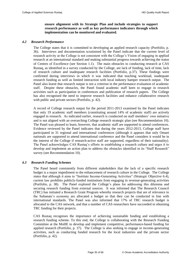# **ensure alignment with its Strategic Plan and include strategies to support research performance as well as key performance indicators through which implementation can be monitored and evaluated.**

#### <span id="page-36-0"></span>*4.2 Research Performance*

The College states that it is committed to developing an applied research capacity (Portfolio, p. 36). Interviews and documentation scrutinised by the Panel indicate that the current level of research activity at the College is not consistent with the College's Vision of engaging in applied research at an international standard and making substantial progress towards achieving the status of Centres of Excellence (see Section [1.1\)](#page-13-1). The main obstacles to conducting research at CAS Rustaq, as identified in a survey conducted by the College, are lack of funding, lack of time, lack of research culture and inadequate research facilities (Portfolio, p.37). These findings were confirmed during interviews in which it was indicated that teaching workload, inadequate research funding as well as limited interaction with local industry hamper research output. The Panel also learnt that research output is not a criterion in the performance evaluation of academic staff. Despite these obstacles, the Panel found academic staff keen to engage in research activities such as participation in conferences and publication of research papers. The College has also recognised the need to improve research facilities and enhance collaborative research with public and private sectors (Portfolio, p. 42).

A record of College research output for the period 2011-2013 examined by the Panel indicates that only 19 academic staff members (constituting around 14% of academic staff) are actively engaged in research. As indicated earlier, research is conducted on staff members' own initiative and is not aligned with an overarching College research strategic plan (see [Recommendation 10\)](#page-35-3). The Panel was pleased to learn, however, that academic staff are supported to attend conferences. Evidence reviewed by the Panel indicates that during the years 2012-2013, College staff have participated in 31 regional and international conferences (although it appears that only Omani nationals are supported to attend international conference and the Panel considers it would be in the interest of the College if research-active staff are supported, regardless of their nationality). The Panel acknowledges CAS Rustaq's efforts in establishing a research culture and urges it to develop and implement an action plan to address the obstacles identified in its "Staff Research" survey (see [Recommendation 10\)](#page-35-3).

#### <span id="page-36-1"></span>*4.3 Research Funding Schemes*

The Panel heard consistently from different stakeholders that the lack of a specific research budget is a major impediment to the enhancement of research culture in the College. The College states that although it aims to "Institute Income-Generating Activities" (Strategic Objective 6.4), current law prohibits publicly-funded institutions from engaging in revenue-generating activities (Portfolio, p. 38). The Panel explored the College's plans for addressing this dilemma and securing research funding from external sources. It was informed that The Research Council (TRC) has initiated a Research Grant Program whereby research projects that are of relevance to the Sultanate's economy are allocated a budget so that they can be conducted in line with international standards. The Panel was also informed that 17% of TRC research budget is allocated to the CAS network, and that a number of CAS researchers have succeeded in obtaining TRC funding for their projects.

CAS Rustaq recognises the importance of achieving sustainable funding and establishing a research funding scheme. To this end, the College is collaborating with the Research Funding Committee at the MoHE to develop and implement competitive, performance-based funding for applied research (Portfolio, p. 37). The College is also seeking to engage in income-generating activities, such as conducting funded research for the local industries and the private sector (Portfolio, p. 42).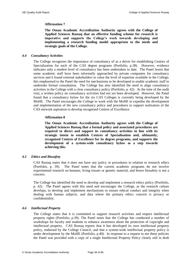# **Affirmation 7**

<span id="page-37-3"></span>**The Oman Academic Accreditation Authority agrees with the College of Applied Sciences Rustaq that an effective funding scheme for research is imperative and supports the College's work towards developing and implementing a research funding model appropriate to the needs and strategic goals of the College.**

#### <span id="page-37-0"></span>*4.4 Consultancy Activities*

The College recognises the importance of consultancy of as a driver for establishing Centres of Specialization for each of the CAS degree programs (Portfolio, p.38). However, evidence indicates only a modest level of consultancy has been undertaken to date. The Panel learnt that some academic staff have been informally approached by private companies for consultancy services and it found external stakeholders to value the level of expertise available in the College; this emphasised to the Panel the need for mechanisms to be developed to enable academic staff to undertake formal consultation. The College has also identified the need to align consultancy activities in the College with a clear consultancy policy (Portfolio, p. 42). At the time of the audit visit, a written policy on consultancy activities had not yet been developed. However, the Panel found that a consultancy bylaw for the six CAS Colleges is currently being developed by the MoHE. The Panel encourages the College to work with the MoHE to expedite the development and implementation of the new consultancy policy and procedures to support realization of the CAS network aspiration to develop recognised Centres of Excellence.

# **Affirmation 8**

<span id="page-37-4"></span>**The Oman Academic Accreditation Authority agrees with the College of Applied Sciences Rustaq that a formal policy and associated procedures are required to direct and support its consultancy activities in line with its strategic intent to establish Centres of Specialisation and, ultimately, recognised Centres of Excellence for its degree programs, and supports the development of a system-wide consultancy bylaw as a step towards achieving this.** 

# <span id="page-37-1"></span>*4.5 Ethics and Biosafety*

CAS Rustaq states that it does not have any policy or procedures in relation to research ethics (Portfolio, p. 39). The Panel notes that the current academic programs do not involve experimental research on humans, living tissues or genetic material, and hence biosafety is not a concern.

The College has identified the need to develop and implement a research ethics policy (Portfolio, p. 42). The Panel agrees with this need and encourages the College, as the research culture develops, to develop and implement mechanisms to ensure ethical conduct and integrity when dealing with human subjects, and data where the primary ethics concern is privacy or confidentiality.

# <span id="page-37-2"></span>*4.6 Intellectual Property*

The College states that it is committed to support research activities and respect intellectual property rights (Portfolio, p.39). The Panel notes that the College has conducted a number of workshops for faculty and students to enhance awareness about the protection of copyright and intellectual property. CAS Rustaq reports that it has developed its own intellectual property policy, endorsed by the College Council, and that a system-wide intellectual property policy is under development by the MoHE (Portfolio, p.40). In response to a request to see these policies the Panel was provided with a copy of a single Intellectual Property Policy clearly still in draft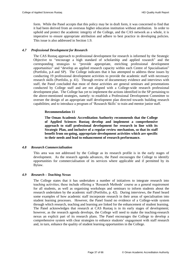form. While the Panel accepts that this policy may be in draft form, it was concerned to find that it had been derived from an overseas higher education institution without attribution. In order to uphold and protect the academic integrity of the College, and the CAS network as a whole, it is imperative to ensure appropriate attribution and adhere to best practice in developing policies. This issue is also addressed in Section [1.9.](#page-20-1)

# <span id="page-38-0"></span>*4.7 Professional Development for Research*

The CAS Rustaq approach to professional development for research is informed by the Strategic Objective to "encourage a high standard of scholarship and applied research" and the corresponding strategies to "provide appropriate, enriching professional development opportunities" and "develop an applied research capacity within each Centre of Specialisation" (Portfolio, p.4 and SP). The College indicates that it has attempted to address these issues by conducting 19 professional development activities to provide the academic staff with necessary research skills (Portfolio, p. 41). Through review of documentary evidence and interviews with staff, the Panel concluded that most of these activities are general seminars and presentations conducted by College staff and are not aligned with a College-wide research professional development plan. The College has yet to implement the actions identified in the SP pertaining to the above-mentioned strategies, namely: to establish a Professional Development Committee to oversee the design of an appropriate staff development plan directed towards building research capabilities; and to introduce a program of 'Research Skills' to train and mentor junior staff.

# **Recommendation 11**

<span id="page-38-3"></span>**The Oman Academic Accreditation Authority recommends that the College of Applied Sciences Rustaq develop and implement a comprehensive approach to staff professional development for research in line with its Strategic Plan, and inclusive of a regular review mechanism, so that its staff benefit from on-going, appropriate development activities which are specific to their needs and lead to enhancement of research performance.** 

# <span id="page-38-1"></span>*4.8 Research Commercialisation*

This area was not addressed by the College as its research profile is in the early stages of development. As the research agenda advances, the Panel encourages the College to identify opportunities for commercialisation of its services where applicable and if permitted by its Bylaw.

# <span id="page-38-2"></span>*4.9 Research – Teaching Nexus*

The College states that it has undertaken a number of initiatives to integrate research into teaching activities; these include offering a 'Research Methods' course as a general requirement for all students, as well as organising workshops and seminars to inform students about the research undertaken by the academic staff (Portfolio, p. 42). During interviews, the Panel heard some examples of how academic staff incorporate research in their areas of specialisation into student learning processes. However, the Panel found no evidence of a College-wide system through which research, teaching and learning are linked for the enhancement of student learning. The Panel acknowledges that research at CAS Rustaq is in its early stages of development; however, as the research agenda develops, the College will need to make the teaching-research nexus an explicit part of its research plans. The Panel encourages the College to develop a comprehensive system with clear strategies to enhance students' engagement with staff research and, in turn, enhance the quality of student learning opportunities in the College.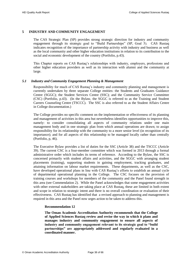# <span id="page-39-0"></span>**5 INDUSTRY AND COMMUNITY ENGAGEMENT**

The CAS Strategic Plan (SP) provides strong strategic direction for industry and community engagement through its strategic goal to "Build Partnerships" (SP, Goal 5). CAS Rustaq indicates recognition of the importance of partnership activity with industry and business as well as the local community and other higher education institutions in relation to its contribution to the social and economic development of the country (Portfolio, p.43).

This Chapter reports on CAS Rustaq's relationships with industry, employers, professions and other higher education providers as well as its interaction with alumni and the community at large.

#### <span id="page-39-1"></span>*5.1 Industry and Community Engagement Planning & Management*

Responsibility for much of CAS Rustaq's industry and community planning and management is currently undertaken by three separate College entities: the Students and Graduates Guidance Centre (SGGC); the Student Services Centre (SSC); and the Community Service Committee (CSC) (Portfolio, p.43). (In the Bylaw, the SGGC is referred to as the Training and Student Careers Counseling Centre (TSCCC). The SSC is also referred to as the Student Affairs Centre in College documentation.)

The College provides no specific comment on the implementation or effectiveness of its planning and management of activities in this area but nevertheless identifies opportunities to improve this, namely: to consider consolidating all aspects of community relations under one main management body and in one strategic plan from which annual operations are drawn; to assign responsibility for its relationship with the community to a more senior level (in recognition of its importance); and for all aspects of this relationship to be managed locally rather than centrally (Portfolio, p, 46).

The Executive Bylaw provides a list of duties for the SSC (Article 38) and the TSCCC (Article 39). The current CSC is a four-member committee which was formed in 2013 through a formal administrative order which includes its terms of reference. According to the Bylaw, the SSC is concerned primarily with student affairs and activities, and the SGGC with arranging student placements (training), supporting students in gaining employment, tracking graduates, and attaining information on labour market requirements. These departments, as well as the CSC, have developed operational plans in line with CAS Rustaq's efforts to establish an annual cycle of departmental operational planning in the College. The CSC focuses on the provision of training courses and workshops for members of the community and the Panel found strength in this area (see [Commendation 2\)](#page-42-4). While the Panel acknowledges that some engagement activities with other external stakeholders are taking place at CAS Rustaq, these are limited in both extent and scope in relation to strategic intent and there is no overall coordination or evaluation of their effectiveness. CAS Rustaq has identified that a revised approach to planning and management is required in this area and the Panel now urges action to be taken to address this.

# <span id="page-39-3"></span>**Recommendation 12**

<span id="page-39-2"></span>**The Oman Academic Accreditation Authority recommends that the College of Applied Sciences Rustaq review and revise the way in which it plans and manages industry and community engagement to ensure all aspects of industry and community engagement relevant to its strategic goal to "build partnerships" are appropriately addressed and regularly evaluated in a coordinated manner.**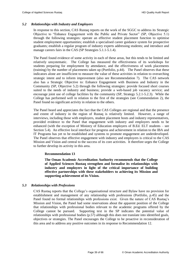#### <span id="page-40-0"></span>*5.2 Relationships with Industry and Employers*

In response to this section, CAS Rustaq reports on the work of the SGGC to address its Strategic Objective to "Enhance Engagement with the Public and Private Sector" (SP, Objective 5.1) through the following strategies: operate an effective student placement function to optimise student employment opportunities; establish a specialised career guidance system for prospective graduates; establish a regular program of industry experts addressing students; and introduce and manage careers fairs in the CAS (SP Strategies 5.1.1-5.1.4).

The Panel found evidence of some activity in each of these areas, but this tends to be limited and relatively unsystematic. The College has measured the effectiveness of its workshops for students preparing for employment by attendance, and the effectiveness of work placements (training) by the number of placements taken up (Portfolio, p.44). The Panel observes that these indicators alone are insufficient to measure the value of these activities in relation to overarching strategic intent and to inform improvement (also see [Recommendation 7\)](#page-30-2). The CAS network also has a Strategic Objective to: Enhance Engagement with Business and Industry in the Community (SP, Objective 5.2) through the following strategies: provide focused short courses suited to the needs of industry and business; provide a web-based job vacancy service; and encourage joint use of college facilities by the community (SP, Strategy 5.2.1-5.2.3). While the College has performed well in relation to the first of the strategies (see [Commendation 2\)](#page-42-4), the Panel found no significant activity in relation to the others.

The Panel heard and appreciates the fact that the CAS Colleges are regional and that the presence and extent of industry in the region of Rustaq is relatively limited. However, a range of interviews, including those with employers, student placement hosts and industry representatives, provided evidence to the Panel that engagement with industry and employers needs to be enhanced (with the exception of Ministry of Education employers of B.Ed. ELT students – see Section [5.4\)](#page-41-0). An effective local interface for progress and achievement in relation to the IBA and IT Programs has yet to be established and systems to promote engagement are underdeveloped. The Panel observes that effective engagement with industry and employers is critical to the CAS Mission and Vision and central to the success of its core activities. It therefore urges the College to further develop its activity in this area.

#### **Recommendation 13**

<span id="page-40-2"></span>**The Oman Academic Accreditation Authority recommends that the College of Applied Sciences Rustaq strengthen and formalise its relationships with industry and employers in light of the critical importance of building effective partnerships with these stakeholders to achieving its Mission and supporting achievement of its Vision.** 

#### <span id="page-40-1"></span>*5.3 Relationships with Professions*

CAS Rustaq reports that the College's organisational structure and Bylaw have no provision for establishment and management of any relationship with professions (Portfolio, p.45) and the Panel found no formal relationships with professions exist. Given the nature of CAS Rustaq's Mission and Vision, the Panel had some reservations about the apparent position of the College that relationships with professional bodies relevant to the academic programs offered by the College cannot be pursued. Supporting text in the SP indicates the potential value of relationships with professional bodies (p.57) although this does not translate into identified goals, objectives or strategies. The Panel encourages the College to be proactive in reconsideration of this area and to address any positive outcomes in its response to [Recommendation 12.](#page-39-3)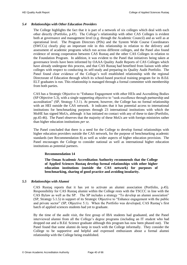# <span id="page-41-0"></span>*5.4 Relationships with Other Education Providers*

The College highlights the fact that it is part of a network of six colleges which deal with each other directly (Portfolio, p.45). The College's relationship with other CAS Colleges is evident both at governance and management level (e.g. through the Academic Council) and as well as at operational level. The Program Directors (PDs) and the System Wide Course Coordinators (SWCCs) clearly play an important role in this relationship in relation to the delivery and assessment of academic programs which run across different colleges, and the Panel also found evidence of strong cooperation between CAS Rustaq and the other CAS Colleges in relation to the Foundation Program. In addition, it was evident to the Panel that initiatives being taken at governance levels have been informed by OAAA Quality Audit Reports of CAS Colleges which have already undergone this process, and that CAS Rustaq had benefited from liaison with other colleges with respect to conducting its self-study and preparing its Quality Audit Portfolio. The Panel found clear evidence of the College's well established relationship with the regional Directorate of Education through which its school-based practical training program for its B.Ed. ELT graduates is run. This relationship is managed through a formal committee with membership from both parties.

CAS has a Strategic Objective to "Enhance Engagement with other HEIs and Accrediting Bodies (SP Objective 5.3), with a single supporting objective to "seek excellence through partnership and accreditation" (SP, Strategy 5.3.1). At present, however, the College has no formal relationship with an HEI outside the CAS network. It indicates that it has potential access to international institutions for benchmarking purposes through 23 international institutions with which the MoHE has signed MoUs, although it has initiated no contact with any of these to date (Portfolio, pp.45-46). The Panel observes that the majority of these MoUs are with foreign ministries rather than higher education institutions *per se.*

The Panel concluded that there is a need for the College to develop formal relationships with higher education providers outside the CAS network, for the purpose of benchmarking academic standards (see [Recommendation 8\)](#page-31-3) as well as wider aspects of higher education provision. The Panel encourages the College to consider national as well as international higher education institutions as potential partners.

# **Recommendation 14**

**The Oman Academic Accreditation Authority recommends that the College of Applied Sciences Rustaq develop formal relationships with other higher education institutions (outside the CAS network) for purposes of benchmarking, sharing of good practice and avoiding insularity.** 

# <span id="page-41-2"></span><span id="page-41-1"></span>*5.5 Relationships with Alumni*

CAS Rustaq reports that it has yet to activate an alumni association (Portfolio, p.45). Responsibility for CAS Rustaq alumni within the College rests with the TSCCC in line with the CAS Bylaw as well as the SP. The SP includes a strategy "To develop an alumni association" (SP, Strategy 5.1.5) in support of its Strategic Objective to "Enhance engagement with the public and private sector" (SP, Objective 5.1). When the Portfolio was developed, CAS Rustaq's first batch of applied sciences students had yet to graduate.

By the time of the audit visit, the first group of IBA students had graduated, and the Panel interviewed alumni from all the College's degree programs (including an IT student who had dropped out and a B.Ed. Science graduate although this program has now been phased out). The Panel found that some alumni do keep in touch with the College informally. They consider the College to be supportive and helpful and expressed enthusiasm about a formal alumni relationship with the College being established.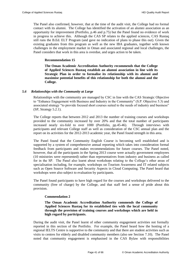The Panel also confirmed, however, that at the time of the audit visit, the College had no formal contact with its alumni. The College has identified the activation of an alumni association as an opportunity for improvement (Portfolio, p.46 and p.75) but the Panel found no evidence of work in progress to achieve this. Although the CAS SP relates to the applied sciences, CAS Rustaq still runs the B.Ed. ELT Program (and gave no indication of plans to phase this out). Given the existing graduates from this program as well as the new IBA graduates, together with known challenges in the employment market in Oman and associated regional and local challenges, the Panel considers that work in this area is overdue, and urges action to be taken.

# <span id="page-42-3"></span>**Recommendation 15**

<span id="page-42-2"></span>**The Oman Academic Accreditation Authority recommends that the College of Applied Sciences Rustaq establish an alumni association in line with its Strategic Plan in order to formalise its relationship with its alumni and maximise potential benefits of this relationship for both the alumni and the College.** 

# <span id="page-42-0"></span>*5.6 Relationships with the Community at Large*

Relationships with the community are managed by CSC in line with the CAS Strategic Objective to "Enhance Engagement with Business and Industry in the Community" (S.P. Objective 5.3) and associated strategy "to provide focused short courses suited to the needs of industry and business" (SP, Strategy 5.2.1).

The College reports that between 2012 and 2013 the number of training courses and workshops provided to the community increased by over 20% and that the total number of participants increased nearly six-fold to over 1000 (Portfolio, pp.45-46). Through interviews with participants and relevant College staff as well as consideration of the CSC annual plan and the report on its activities for the 2012-2013 academic year, the Panel found strength in this area.

The Panel found that the Community English Course is becoming well established and is supported by a system of comprehensive annual reporting which takes into consideration formal feedback from participants and makes recommendations for future courses. The Panel noted, however, that all the participants in the Spring 2013 course were actually government employees (10 ministries were represented) rather than representatives from industry and business as called for in the SP. The Panel also learnt about workshops relating to the College's other areas of specialisation including, for example, workshops on Tourism Awareness and IT related subjects such as Open Source Software and Security Aspects in Cloud Computing. The Panel heard that workshops were also subject to evaluation by participants.

<span id="page-42-4"></span>The Panel found participants to have high regard for the courses and workshops delivered to the community (free of charge) by the College, and that staff feel a sense of pride about this provision.

# **Commendation 2**

# <span id="page-42-1"></span>**The Oman Academic Accreditation Authority commends the College of Applied Sciences Rustaq for its established ties with the local community through the provision of training courses and workshops which are held in high regard by participants.**

During the audit visit, the Panel learnt of other community engagement activities not formally reported in this section of the Portfolio. For example, the Panel heard how the hosting of a regional IELTS Centre is supportive to the community and that there are student activities such as visits to centres for elderly and disabled community members (also see Section [7.10\)](#page-53-0). The Panel noted that community engagement is emphasised in the CAS Bylaw with responsibilities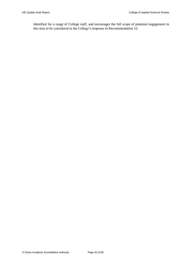identified for a range of College staff, and encourages the full scope of potential engagement in this area to be considered in the College's response to [Recommendation 12.](#page-39-3)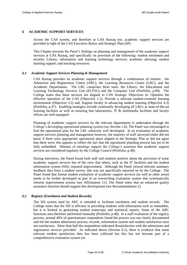# <span id="page-44-0"></span>**6 ACADEMIC SUPPORT SERVICES**

Across the CAS system, and therefore at CAS Rustaq too, academic support services are provided in light of the CAS Executive Bylaw and Strategic Plan (SP).

This Chapter presents the Panel's findings on planning and management of the academic support services at CAS Rustaq, and specifically on provision of the following: student enrolment and records; Library; information and learning technology services; academic advising; student learning support; and teaching resources.

#### <span id="page-44-1"></span>*6.1 Academic Support Services Planning & Management*

CAS Rustaq provides its academic support services through a combination of entities: the Admission and Registration Centre (ARC), the Learning Resources Centre (LRC), and the Academic Departments. The LRC comprises three units: the Library; the Educational and Learning Technology Services Unit (ELTSU) and the Computer Unit (Portfolio, p.89). The College states that these services are aligned to CAS Strategic Objectives to: Optimise the effective operation of the CAS (Objective 1.1); Provide a relevant student-centered learning environment (Objective 3.2) and, Support faculty in advancing student learning (Objective 4.3) (Portfolio, p.47). Enabling strategies include continually developing all LRCs as state-of-the-art learning facilities as well as ensuring that laboratories, IT & multimedia facilities and faculty offices are well-equipped.

Planning of academic support services by the relevant departments is undertaken through the College's developing operational planning system (see Section [1.6\)](#page-18-1). The Panel was encouraged to find the operational plan for the LRC relatively well developed. In an evaluation of academic support services planning and management however, the majority of staff surveyed either did not know if there were appropriate operational plans aligned to the Strategic Plan or did not agree that there were; this appears to reflect the fact that the operational planning process has yet to be fully embedded. Minutes of meetings support the College's assertion that academic support services are considered regularly by the College Council (Portfolio, p.48).

During interviews, the Panel found both staff and students positive about the provision of some academic support services but of the view that others, such as the IT facilities and the student information system (SIS), required improvement. Although the Panel viewed relevant summary feedback data from a student survey, this was not specifically reported on by the College. The Panel found that formal student evaluation of academic support services (as well as other areas) needs to be further developed as part of an overarching evaluation system that systematically informs improvement actions (see [Affirmation 11\)](#page-49-3). The Panel notes that an enhanced quality assurance function should support this development (see [Recommendation 2\)](#page-17-2).

# <span id="page-44-2"></span>*6.2 Registry (Enrolment and Student Records)*

The SIS system used by ARC is intended to facilitate enrolment and student records. The College states that the SIS is efficient in providing students with information such as timetables, but it is limited in generating student transcripts and statistical reports. Some of the ARC functions area therefore performed manually (Portfolio, p.48). In a staff evaluation of the registry process, around 40% of questionnaire respondents found the process was not clearly documented and felt the student admissions process, records, information system and student satisfaction were not satisfactory. More than half the respondents indicated dissatisfaction with the admissions and registration services provided. As indicated above (Section [6.1\)](#page-44-1), there is evidence that some relevant student satisfaction data has been collected but this has not become part of a comprehensive evaluation system yet.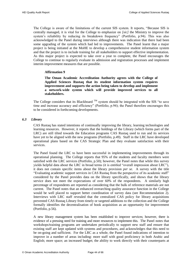The College is aware of the limitations of the current SIS system. It reports, "Because SIS is centrally managed, it is vital for the College to emphasize on *[sic]* the Ministry to improve the system's reliability by reducing its breakdown frequency" (Portfolio, p.94). This was also acknowledged to the Panel during interviews although there was indication that there had been some upgrading of the system which had led to improvements. The Panel learnt that a major project is being initiated at the MoHE to develop a comprehensive student information system and that the project is to include training for all stakeholders to support effective implementation. As this major project is expected to take over a year to complete, the Panel encourages the College to continue to regularly evaluate its admission and registration processes and implement interim improvement measures that are possible.

# <span id="page-45-2"></span>**Affirmation 9**

<span id="page-45-1"></span>**The Oman Academic Accreditation Authority agrees with the College of Applied Sciences Rustaq that its student information system requires improvement and supports the action being taken to develop and implement a network-wide system which will provide improved services to all stakeholders.** 

The College considers that its Blackboard  $TM$  system should be integrated with the SIS "to save time and increase accuracy and efficiency" (Portfolio, p.94); the Panel therefore encourages this to be considered in forthcoming developments.

# <span id="page-45-0"></span>*6.3 Library*

CAS Rustaq has stated intentions of continually improving the library, learning technologies and learning resources. However, it reports that the holdings of the Library (which forms part of the LRC) are still tilted towards the Education programs CAS Rustaq used to run and its services have yet to be aligned with the new programs (Portfolio, p.49). Staff in the LRC have developed operational plans based on the CAS Strategic Plan and they evaluate satisfaction with their services.

The Panel found the LRC to have been successful in implementing improvements through its operational planning. The College reports that 95% of the students and faculty members were satisfied with the LRC services (Portfolio, p.50); however, the Panel notes that while this survey yields helpful data about the LRC in broad terms (it is entitled "overall impression about LRC"), it does not contain specific items about the library provision *per se.* A survey with the title "Evaluating academic support services in CAS Rustaq from the perspective of its academic staff" considered by the Panel provides data on the library specifically, and shows that the library service does not meet the expectations of over 60% of the respondents. A similarly high percentage of respondents are reported as considering that the bulk of reference materials are not current. The Panel notes that an enhanced overarching quality assurance function in the College would be well placed to support better coordination of survey data (see [Recommendation 2\)](#page-17-2). Interviews with LRC staff revealed that the centralized CAS policy for library acquisitions prevented CAS Rustaq Library from timely or targeted additions to the collection and the College formally identifies the decentralisation of book acquisition as an opportunity for improvement (Portfolio, p.56).

A new library management system has been established to improve services; however, there is evidence of a pressing need for training and more resources to implement this. The Panel notes that workshops/training programs are undertaken periodically to support new staff and ensure that existing staff are kept updated with systems and procedures, and acknowledges that this need to be on-going and sufficient. For the LRC as a whole, the Panel found indications of intention to improve in a number of areas including: more staff with good proficiency in both Arabic and English; more space; an increased budget; the ability to work directly with their counterparts at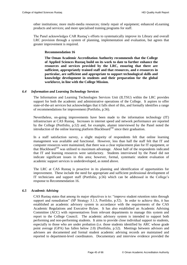other institutions; more multi-media resources; timely repair of equipment; enhanced eLearning products and services; and more specialised training programs for staff.

<span id="page-46-3"></span>The Panel acknowledges CAR Rustaq's efforts to systematically improve its Library and overall LRC provision through a system of planning, implementation and evaluation, but agrees that greater improvement is required.

# **Recommendation 16**

<span id="page-46-2"></span>**The Oman Academic Accreditation Authority recommends that the College of Applied Sciences Rustaq build on its work to date to further enhance the resources and services provided by the LRC, ensuring that there are sufficient, appropriately trained staff and that resources, and e-resources in particular, are sufficient and appropriate to support technological skills and knowledge development in students and their preparation for the global workforce, in line with the College Mission.**

# <span id="page-46-0"></span>*6.4 Information and Learning Technology Services*

The Information and Learning Technologies Services Unit (ILTSU) within the LRC provides support for both the academic and administrative operations of the College. It aspires to offer state-of-the-art services but acknowledges that it falls short of this, and formally identifies a range of recommendations for improvement (Portfolio, p.56).

Nevertheless, on-going improvements have been made to the information technology (IT) infrastructure at CAS Rustaq. Increases in internet speed and network performance are reported by the College (Portfolio, p.52) and, for example, alumni interviewed by the Panel noted the introduction of the online learning platform Blackboard<sup>TM</sup> since their graduation.

In a staff satisfaction survey, a slight majority of respondents felt that online learning management was available and functional. However, less than half the staff felt that IT and computer resources were maintained, that there was a clear replacement plan for IT equipment, or that Blackboard<sup>TM</sup> was utilised to maximum advantage. About half of the respondents indicated that IT and learning resources were satisfactory. Students interviewed by the Panel did not indicate significant issues in this area; however, formal, systematic student evaluation of academic support services is underdeveloped, as noted above.

The LRC at CAS Rustaq is proactive in its planning and identification of opportunities for improvement. These include the need for appropriate and sufficient professional development of IT technicians and support staff (Portfolio, p.56) which can be addressed in the College's response to [Recommendation 16.](#page-46-3)

# <span id="page-46-1"></span>*6.5 Academic Advising*

CAS Rustaq states that among its major objectives is to: "improve student retention rates through support and remediation" (SP Strategy 3.1.3, Portfolio, p.52). In order to achieve this, it has established an academic advisory system in accordance with the requirements of the CAS Academic Regulations and Executive Bylaw. It has also established an Academic Advising Committee (ACC) with representatives from relevant departments to manage this system and report to the College Council. The academic advisory system is intended to support both performing and non-performing students. It aims to provide close individual support to students, especially to those who are under probation (i.e. those students identified by ARC whose grade point average (GPA) has fallen below 2.0) (Portfolio, p.52). Meetings between advisors and advisees are documented and formal student academic advising records are maintained and reported to department-level coordinators. Documentary and interview evidence provided the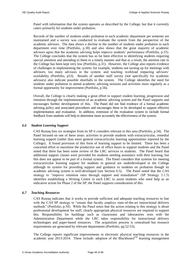Panel with information that the system operates as described by the College, but that it currently caters primarily for students under probation.

Records of the number of students under probation in each academic department per semester are maintained and a survey was conducted to evaluate the system from the perspective of the academic advisors. The data shows a decline in the number of students under probation in each department over time (Portfolio, p.30) and also shows that the great majority of academic advisors agree that the academic advising helps improve students' performance (Portfolio, p.53). The College concludes that the system has so far been effective in identifying students requiring special attention and attending to them in a timely manner and that as a result, the attrition rate in the College has been kept very low (Portfolio, p.31). However, the College also reports evidence of challenges in implementing the system: for example, students not turning up for meetings with advisors; too many advisees in the system; and teaching workload impacting advisors' availability (Portfolio, p53). Results of another staff survey (not specifically for academic advisors) also indicate possible shortfalls in the system. The College identifies the need for students under probation to attend academic advising sessions and activities more regularly as a formal opportunity for improvement (Portfolio, p.56).

Overall, the College is clearly making a great effort to support student learning, progression and retention through the implementation of an academic advising system and the Panel supports and encourages further development of this. The Panel did not find evidence of a formal academic advising policy and associated procedures and encourages these to be developed to support effective implementation and evaluation. In addition, extension of the evaluation system to include formal feedback from students will help to determine more accurately the effectiveness of the system.

# <span id="page-47-0"></span>*6.6 Student Learning Support*

CAS Rustaq lists six strategies from its SP it considers relevant to this area (Portfolio, p.54). The Panel focused on one of these areas: activities to provide students with extracurricular, remedial learning support (rather than more general extracurricular learning opportunities reported by the College). It found provision of this form of learning support to be limited. There has been a concerted effort to maximise the productive use of office hours to support students and the Panel noted that there has been some review of the LRC services to students. The Panel heard that additional support classes were provided for students needing assistance with their learning, but this does not appear to be part of a formal system. The Panel considers that systems for meeting extracurricular learning support for students in general are underdeveloped in the College although its system for providing support and guidance to students on probation though its academic advising system is well-developed (see Section [6.5\)](#page-46-1). The Panel noted that the CAS strategy to "improve retention rates through support and remediation" (SP Strategy 3.1.3) identifies establishing a Writing Centre in each LRC to assist students who need help as an indicative action for Phase 2 of the SP; the Panel supports consideration of this.

# <span id="page-47-1"></span>*6.7 Teaching Resources*

CAS Rustaq indicates that it works to provide sufficient and adequate teaching resources in line with the CAS SP strategy to "ensure that faculty employs state-of-the-art instructional delivery methods" (Portfolio, p.54). While the Panel notes that the action relating to this strategy is about professional development for staff, clearly appropriate physical resources are required to support this. Responsibility for buildings such as classrooms and laboratories rests with the Administration Department while the LRC takes responsibility for instructional delivery technologies and paper-based resources. The acquisition process is centralised but resource requirements are generated by relevant departments (Portfolio, pp.52-53).

The College reports significant improvements in electronic physical teaching resources in the academic year 2013-2014. These include: adoption of the Blackboard<sup>TM</sup> learning management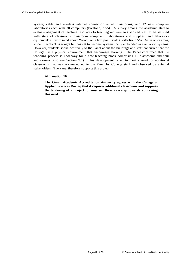system; cable and wireless internet connection to all classrooms; and 12 new computer laboratories each with 30 computers (Portfolio, p.55). A survey among the academic staff to evaluate alignment of teaching resources to teaching requirements showed staff to be satisfied with state of classrooms, classroom equipment, laboratories and supplies, and laboratory equipment: all were rated above "good" on a five point scale (Portfolio, p.56). As in other areas, student feedback is sought but has yet to become systematically embedded in evaluation systems. However, students spoke positively to the Panel about the buildings and staff concurred that the College has a physical environment that encourages learning. The Panel confirmed that the tendering process is underway for a new teaching block comprising 12 classrooms and four auditoriums (also see Section [9.1\)](#page-59-1). This development is set to meet a need for additional classrooms that was acknowledged to the Panel by College staff and observed by external stakeholders. The Panel therefore supports this project.

#### **Affirmation 10**

<span id="page-48-0"></span>**The Oman Academic Accreditation Authority agrees with the College of Applied Sciences Rustaq that it requires additional classrooms and supports the tendering of a project to construct these as a step towards addressing this need.**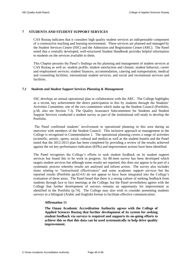# <span id="page-49-0"></span>**7 STUDENTS AND STUDENT SUPPORT SERVICES**

CAS Rustaq indicates that it considers high quality student services an indispensable component of a constructive teaching and learning environment. These services are planned and managed by the Student Services Centre (SSC) and the Admission and Registration Centre (ARC). The Panel noted that a centrally developed, well-structured Student Handbook provides helpful information to students on the services available to them.

This Chapter presents the Panel's findings on the planning and management of student services at CAS Rustaq as well as: student profile; student satisfaction and climate; student behavior; career and employment services; student finances; accommodation, catering and transportation; medical and counseling facilities; international student services; and social and recreational services and facilities.

# <span id="page-49-1"></span>*7.1 Students and Student Support Services Planning & Management*

SSC develops an annual operational plan in collaboration with the ARC. The College highlights as a recent, key achievement the direct participation in this by students through the Students' Activities Committee, one of the two committees which make up the Student Council (Portfolio, p.58, also see Section [7.3\)](#page-50-1). The Quality Assurance Subcommittee for Students and Student Support Services conducted a student survey as part of the institutional self-study to develop the Portfolio.

The Panel confirmed students' involvement in operational planning in this area during an interview with members of the Student Council. This inclusive approach to management in the College is recognised in [Commendation 1.](#page-16-1) The operational planning covers a range of activities (scientific, artistic, sports, social, cultural and media) as well as the student hostels and the Panel noted that the 2012-2013 plan has been completed by providing a review of the results achieved against the set key performance indicators (KPIs) and improvement actions have been identified.

The Panel recognises the College's efforts to seek student feedback on its student support services but found this to be work in progress. An 80-item survey has been developed which targets student services but although some results are reported, this does not appear to be part of a systematic process whereby results are analysed and inform action. The survey also includes items relating to "instructional effectiveness" and some academic support services but the reported results (Portfolio pp.62-63) do not appear to have been integrated into the College's evaluation of these areas. The Panel heard that there is a strong culture of seeking feedback from students through face to face meetings at the College, but the Panel nevertheless agrees with the College that further development of surveys remains an opportunity for improvement as identified in the Portfolio (p.74). The College may also wish to consider presenting students surveys in a bilingual (Arabic and English) format to facilitate effective communication.

#### <span id="page-49-3"></span>**Affirmation 11**

<span id="page-49-2"></span>**The Oman Academic Accreditation Authority agrees with the College of Applied Sciences Rustaq that further development of its system for seeking student feedback via surveys is required and supports its on-going efforts to achieve this so that this data can be used systematically to help drive quality improvement.**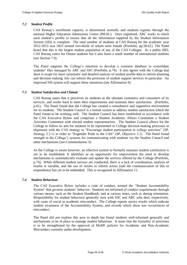#### <span id="page-50-0"></span>*7.2 Student Profile*

CAS Rustaq's enrollment capacity is determined centrally and students register through the national Higher Education Admissions Centre (HEAC). Once registered, ARC works to check each student's profile to ensure that all the information supplied by the Student Information System (SIS) is complete. The total number of students at CAS Rustaq for the academic year 2012-2013 was 1823 around two-thirds of whom were female (Portfolio, pp.58-61). The Panel heard that this is the largest student population of any of the CAS Colleges. As a public HEI, CAS Rustaq caters for Omani students but it also hosts a small number of international students (see Sectio[n 7.9\)](#page-52-1).

The Panel supports the College's intention to develop a common database to consolidate students' files managed by ARC and SSC (Portfolio, p.74). It also agrees with the College that there is scope for more systematic and detailed analysis of student profile data to inform planning and decision making; this can inform the provision of student support services in particular. An improved SIS system will support these intentions (see [Affirmation 9\)](#page-45-2).

#### <span id="page-50-1"></span>*7.3 Student Satisfaction and Climate*

CAS Rustaq states that it perceives its students as the ultimate customers and consumers of its services, and works hard to meet their requirements and maintain their satisfaction. (Portfolio, p.61). The Panel found that the College has created a consultative and supportive environment for its students. The Student Council is a formal system to address student satisfaction which the Panel found to be working well. The Student Council has been established in accordance with the CAS Executive Bylaw and comprises a Student Academic Affairs Committee a Student Activities Committee with elected student representatives. The Student Council allows for the College to follow its aim for students to be represented in College decision-making processes in alignment with the CAS strategy to "Encourage student participation in college activities" (SP, Strategy 2.2.1) in order to "Engender Pride in the CAS" (SP, Objective 2.2). The Panel found strength in the College's systems for communicating with students via the Student Council and other mechanisms (see [Commendation 3\)](#page-60-3).

As the College is aware however, an effective system to formally measure student satisfaction is yet to be established. It identifies as an opportunity for improvement the need to develop mechanisms to systematically evaluate and update the services offered by the College (Portfolio, p.74). While different student surveys are conducted, there is a lack of coordination, analysis of results is variable, and the use of results to inform action (and the communication of this to respondents) has yet to be embedded. This is recognised in [Affirmation 11.](#page-49-3)

# <span id="page-50-2"></span>*7.4 Student Behaviour*

The CAS Executive Bylaw includes a code of conduct, termed the "Student Accountability System" that governs students' behavior. Students are informed of conduct requirements through various means, such as the Student Handbook, and at various times, such as during orientation. Responsibility for student behaviour generally rests with SSC and ARC who deal, respectively, with cases of social or academic misconduct. The College reports survey results which indicate student awareness of the Accountability System, and records which show low occurrences of misconduct.

The Panel did not explore this area in depth but found students well-informed generally and mechanisms to be in place to manage student behaviour. It notes that the formality of processes is to be strengthened by the approval of MoHE policies for Academic and Non-Academic Misconduct currently under development.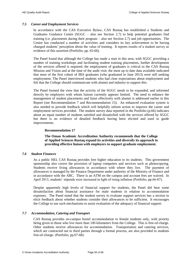# <span id="page-51-0"></span>*7.5 Career and Employment Services*

In accordance with the CAS Executive Bylaw, CAS Rustaq has established a Students and Graduates Guidance Centre (SGGC – also see Section [2.7\)](#page-29-1) to help potential graduates find training (i.e. placements during their program – also see Section [2.7\)](#page-29-1) and job opportunities. The Centre has conducted a number of activities and considers its key achievement to be having changed students' perception about the value of training. It reports results of a student survey as evidence of this assertion (Portfolio, pp. 65-66).

The Panel found that although the College has made a start in this area, with SGGC providing a number of training workshops and facilitating student training placements, further development of the services offered is required; the employment of graduates is critical to the CAS Rustaq Mission and Vision and at the time of the audit visit, the most up to date data available indicated that most of the first cohort of IBA graduates (who graduated in June 2013) were still seeking employment. The Panel interviewed students who had clear expectations about employment and felt that the College should communicate with alumni and industry to support this.

The Panel formed the view that the activity of the SGGC needs to be expanded, and informed directly by employers with whom liaison currently appears limited. The need to enhance the management of student placements and liaise effectively with alumni is addressed earlier in this Report (see [Recommendation 7](#page-30-2) and [Recommendation 15\)](#page-42-3). An enhanced evaluation system is also needed to provide feedback which will helpfully inform action to improve the career and employment services provided. The student survey data reported in the Portfolio (p.66) indicates about an equal number of students satisfied and dissatisfied with the services offered by SGGC but there is no evidence of detailed feedback having been elicited and used to guide improvements.

# **Recommendation 17**

**The Oman Academic Accreditation Authority recommends that the College of Applied Sciences Rustaq expand its activities and diversify its approach to providing effective liaison with employers to support graduate employment.** 

# <span id="page-51-3"></span><span id="page-51-1"></span>*7.6 Student Finances*

As a public HEI, CAS Rustaq provides free higher education to its students. This government sponsorship also covers the provision of laptop computers and services such as photocopying. Students receive living allowances in accordance with where they live. The payment of allowances is managed by the Finance Department under authority of the Ministry of Finance and in accordance with the ARC. There is an ATM on the campus and account fees are waived. In April 2013, students' stipends were increased in light of rising inflation (Portfolio, pp.66-67).

Despite apparently high levels of financial support for students, the Panel did hear some dissatisfaction about financial assistance for male students in relation to accommodation expenses. The Panel noted that the student survey to evaluate support services has a section to elicit feedback about whether students consider their allowances to be sufficient. It encourages the College to use such mechanisms to assist evaluation of the adequacy of financial support.

# <span id="page-51-2"></span>*7.7 Accommodation, Catering and Transport*

CAS Rustaq provides on-campus hostel accommodation to female students only, with priority being given to those who live more than 100 kilometers from the College. This is free-of-charge. Other students receive allowances for accommodation. Transportation and catering services, which are contracted out to third parties through a formal process, are also provided to students free-of-charge. (Portfolio, pp.67-68).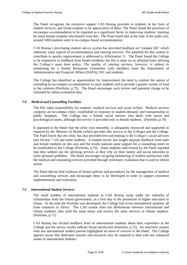The Panel recognises the extensive support CAS Rustaq provides to students in the form of student services, and found students to be appreciative of these. The Panel found the provision of on-campus accommodation to be regarded as a significant factor in improving students' learning by some female students who benefit from this. The Panel heard that at the time of the audit visit, around 1000 students were in on-campus hostel accommodation.

CAS Rustaq's developing student survey system has provided feedback on "campus life" which addresses some aspects of accommodation and catering services. The potential for this system to contribute to quality improvement is addressed in [Affirmation 11.](#page-49-3) The Panel found the College to be responsive to feedback from hostel residents, but this is done on an informal basis utilising the College's open door policy. The quality of catering services, however, is subject to monitoring by a formal Restaurant Committee with members from the Department of Administration and Financial Affairs (DAFA), SSC and students.

The College has identified as opportunities for improvement the need to explore the option of extending its on-campus accommodation to more students and to provide a greater variety of food in the cafeteria (Portfolio, p.75). The Panel encourages such review and potential change to be informed by robust evaluation data.

# <span id="page-52-0"></span>*7.8 Medical and Counselling Facilities*

The SSC takes responsibility for students' medical services and social welfare. Medical services comprise an on-campus clinic, established in response to student demand, and transportation to public hospitals. The College has a female social advisor who deals with social and psychological issues, although this service is provided only to female students. (Portfolio, p.70)

It appeared to the Panel that the clinic runs smoothly, is adequately resourced and supported as required by the Ministry of Health (which provides this service to the College) and the College. The Panel learnt that the clinic has also provided first-aid training to the College's social advisors (see Section [7.10\)](#page-53-0) and some students. A student survey has sought separate feedback from male and female students on this area and the results indicate some support for a counseling centre to be established in the College (Portfolio, p.70). Some students interviewed by the Panel reported that they seldom use the advising services as they rely on their family and social networks to solve personal problems. The Panel encourages on-going monitoring of student satisfaction with the medical and counseling services provided through systematic evaluation that is used to inform action.

The Panel did not find evidence of formal policies and procedures for the management of medical and counselling services and encourages these to be developed in order to support consistent implementation and evaluation.

# <span id="page-52-1"></span>*7.9 International Student Services*

The small number of international students at CAS Rustaq study under the umbrella of scholarships from the Omani government, as a first step in the promotion of higher education in Oman. At the time the Portfolio was developed, the College had seven international students, all from countries in Africa. The CAS system does not differentiate between international and Omani students; they hold the same status and receive the same services as Omani students. (Portfolio, p.71).

CAS Rustaq has elicited feedback from its international students about their experience in the College and the survey results indicate broad satisfaction (Portfolio, p.72). An interview session with one international student present highlighted no areas of concern to the Panel. The College appears aware that dedicated systems and resources may be required to deal with any enhanced intake of international students.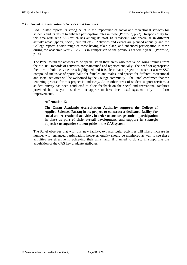# <span id="page-53-0"></span>*7.10 Social and Recreational Services and Facilities*

CAS Rustaq reports its strong belief in the importance of social and recreational services for students and its desire to enhance participation rates in these (Portfolio, p.72). Responsibility for this area rests with SSC which has among its staff 18 "advisors" who specialise in different activity areas (sports, social, cultural etc). Activities and events are planned annually and the College reports a wide range of these having taken place, and enhanced participation in these during the academic year 2012-2013 in comparison to the previous academic year. (Portfolio, p.74)

The Panel found the advisors to be specialists in their areas who receive on-going training from the MoHE. Records of activities are maintained and reported annually. The need for appropriate facilities to hold activities was highlighted and it is clear that a project to construct a new SSC compound inclusive of sports halls for females and males, and spaces for different recreational and social activities will be welcomed by the College community. The Panel confirmed that the tendering process for this project is underway. As in other areas of student support services, a student survey has been conducted to elicit feedback on the social and recreational facilities provided but as yet this does not appear to have been used systematically to inform improvements.

# **Affirmation 12**

<span id="page-53-1"></span>**The Oman Academic Accreditation Authority supports the College of Applied Sciences Rustaq in its project to construct a dedicated facility for social and recreational activities, in order to encourage student participation in these as part of their overall development, and support its strategic objective to engender student pride in the CAS system.** 

The Panel observes that with this new facility, extracurricular activities will likely increase in number with enhanced participation; however, quality should be monitored as well to see these activities are effective in achieving their aims, and, if planned to do so, in supporting the acquisition of the CAS key graduate attributes.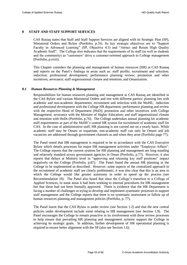# <span id="page-54-0"></span>**8 STAFF AND STAFF SUPPORT SERVICES**

CAS Rustaq states that Staff and Staff Support Services are aligned with its Strategic Plan (SP), Ministerial Orders and Bylaw (Portfolio, p.76). Its key strategic objectives are to "Support Faculty in Advanced Learning" (SP, Objective 4.3) and "Attract and Retain High Quality Academic Staff". The College also indicates that the requirements of its staff (as well as students and the community) as "customers" drive a customer-oriented approach to College management (Portfolio, p.xviii).

This Chapter considers the planning and management of human resources (HR) at CAS Rustaq and reports on the Panel's findings in areas such as: staff profile; recruitment and selection; induction; professional development; performance planning review; promotion and other incentives; severance; staff organisational climate and retention; and Omanisation.

#### <span id="page-54-1"></span>*8.1 Human Resources Planning & Management*

Responsibilities for human resources planning and management at CAS Rustaq are identified in the CAS Bylaw and various Ministerial Orders and rest with different parties: planning lies with academic and non-academic departments; recruitment and selection with the MoHE; induction and professional development with the College HR department; performance planning and review with the respective Head of Department (HoD); promotion and other incentives with College Management; severance with the Minister of Higher Education; and staff organisational climate and retention with HoDs (Portfolio, p.76). The College undertakes annual planning for academic staff requirements as part of the MoHE's central HR system for recruitment of academic staff for CAS. In the case of administrative staff, HR planning is not carried out on a yearly basis. While academic staff may be Omani or expatriate, non-academic staff can only be Omani and job vacancies are addressed through government channels as and when they arise (Portfolio page 77).

The Panel noted that HR management is required to be in accordance with the CAS Executive Bylaw which details processes for major HR management activities under "Employee Affairs". The College reports that the current systems for HR planning and management are long standing and relatively standard across government agencies in Oman (Portfolio, p.77). However, it also reports that delays at Ministry level in "approving and releasing key staff positions" impact negatively on the College (Portfolio, p.87). The Panel found the annual HR planning in the College to be implemented as described. However, some aspects of the centralized approach to the recruitment of academic staff are clearly problematic; it was also clear that this is an area in which the College would like greater autonomy in order to speed up the process (see [Recommendation 18\)](#page-55-4). The Panel also heard that since the College's transition to a College of Applied Sciences, in some areas it had been working to internal procedures for HR management but that these had not been formally approved. There is evidence that the HR Department is facing a number of challenges in trying to develop and implement systematic processes to support staff management and the College reports that there is no systematic assessment or follow up of human resources planning and management policies (Portfolio, p. 77).

The Panel learnt that the CAS Bylaw is under review (see Section [1.2\)](#page-14-0) and that the new central policies under development include some relating to HR management (see Section [1.9\)](#page-20-1). The Panel encourages the College to remain proactive in its involvement with these review processes to help ensure that prevailing HR planning and management systems support the College in achieving its strategic goals. In addition, further development of HR operational planning is required to ensure better alignment with the SP (also see Section [1.6\)](#page-18-1).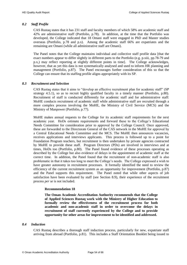# <span id="page-55-0"></span>*8.2 Staff Profile*

CAS Rustaq states that it has 231 staff and faculty members of which 58% are academic staff and 42% are administrative staff (Portfolio, p.78). In addition, at the time that the Portfolio was developed, the College indicated that 18 Omani staff were engaged in PhD and Master studies overseas (Portfolio, p.78 and p.x). Among the academic staff 66% are expatriates and the remaining are Omani (while all administrative staff are Omani).

The Panel notes that the College maintains individual and collective staff profile data [that the exact numbers appear to differ slightly in different parts to the Portfolio (e.g. p.xiii, pp.78-79 and p.x,) may reflect reporting at slightly different points in time]. The College acknowledges, however, that as yet this data is not systematically analysed and used to inform HR planning and management (Portfolio, p.87). The Panel encourages further consideration of this so that the College can ensure that its staffing profile aligns appropriately with its SP.

# <span id="page-55-1"></span>*8.3 Recruitment and Selection*

CAS Rustaq states that it aims to "develop an effective recruitment plan for academic staff" (SP strategy 4.5.1), so as to recruit highly qualified faculty in a timely manner (Portfolio, p.80). Recruitment of staff is conducted differently for academic staff and for administrative staff: MoHE conducts recruitment of academic staff while administrative staff are recruited through a more complex process involving the MoHE, the Ministry of Civil Service (MCS) and the Ministry of Manpower (Portfolio, p.77).

MoHE makes annual requests to the College for its academic staff requirements for the next academic year. HoDs estimate requirements and forward these to the College's Educational Needs Committee for consideration prior to approval by the College Council. Once approved, these are forwarded to the Directorate General of the CAS network in the MoHE for approval by a Central Educational Needs Committee and the MCS. The MoHE then announces vacancies, receives applications and interviews applicants. This process is followed up to a point for Foundation Program teachers, but recruitment is then undertaken by private agencies contracted by MoHE to provide these staff. Program Directors (PDs) are involved in interviews and at times, HoDs too (Portfolio, p.80). The Panel found evidence of these processes operating as described by the College but also evidence of delays in the appointment of academic staff at the correct time. In addition, the Panel found that the recruitment of non-academic staff is also problematic in that it takes too long to meet the College's needs. The College expressed a wish to have greater autonomy in recruitment processes. It formally identified the need to review the efficiency of the current recruitment system as an opportunity for improvement (Portfolio, p.87) and the Panel supports this requirement. The Panel noted that while other aspects of job satisfaction have been evaluated by staff (see Section [8.9\)](#page-57-2), their experience of the recruitment process *per se* is not included.

#### <span id="page-55-4"></span>**Recommendation 18**

<span id="page-55-3"></span>**The Oman Academic Accreditation Authority recommends that the College of Applied Sciences Rustaq work with the Ministry of Higher Education to formally review the effectiveness of the recruitment process for both academic and non-academic staff in order to overcome the delays in recruitment of staff currently experienced by the College and to provide opportunity for other areas for improvement to be identified and addressed.** 

# <span id="page-55-2"></span>*8.4 Induction*

CAS Rustaq describes a thorough staff induction process, particularly for new, expatriate staff arriving from abroad (Portfolio, p.81). This includes a Staff Orientation Booklet being issued to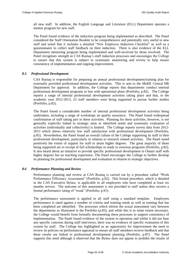all new staff. In addition, the English Language and Literature (ELL) Department operates a mentor program for new staff.

The Panel found evidence of the induction program being implemented as described. The Panel considered the Staff Orientation Booklet to be comprehensive and potentially very useful to new staff and noted that it includes a detailed "New Employee Induction Checklist" as well as a questionnaire to collect staff feedback on their induction. There is also evidence of the ELL Department mentoring program being implemented and well-received by those involved. The Panel recognises strength in CAS Rustaq's staff induction processes and encourages the College to ensure that this system is subject to systematic monitoring and review to help ensure consistency of implementation and ongoing improvement.

# <span id="page-56-0"></span>*8.5 Professional Development*

CAS Rustaq is responsible for preparing an annual professional development/training plan for externally provided professional development activities. This is sent to the MoHE Central HR Department for approval. In addition, the College reports that departments conduct internal professional development programs in line with operational plans (Portfolio, p.82). The College reports a range of internal professional development activities taking place and that, in the academic year 2012-2013, 22 staff members were being supported to pursue further studies (Portfolio, p.82).

The Panel found a considerable number of internal professional development activities being undertaken, including a range of workshops on quality assurance. The Panel found widespread confirmation of staff taking part in these activities. Planning for these activities, however, is not generally explicitly linked to strategic aims or identified needs and systematic evaluation of activities (individually and collectively) is limited. The College reports survey data from 2012- 2013 which shows relatively low staff satisfaction with professional development (Portfolio, p.85). Nevertheless, the Panel found an overall culture of the College supporting its staff in their professional development, particularly in relation to research related activities. The Panel noted positively the extent of support for staff to attain higher degrees. The great majority of those being supported are in receipt of full scholarships to study in overseas programs (Portfolio, p.82). It also heard about an initiative to provide specific professional development to Omani staff with higher degrees but no teaching experience. The Panel encourages the College to further develop its planning for professional development and evaluation in relation to strategic objectives.

# <span id="page-56-1"></span>*8.6 Performance Planning and Review*

Performance planning and review at CAS Rustaq is carried out by a procedure called "Work Performance Efficiency Assessment" (Portfolio, p.82). This formal procedure, which is detailed in the CAS Executive Bylaw, is applicable to all employees who have completed at least six months service. The outcome of this assessment is not provided to staff unless they receive a formal performance rating of "weak" (Portfolio, p.83).

The performance assessment is applied to all staff using a standard template. Employees performance is rated against a number of criteria and training needs as well as training that has been completed are identified. The processes which inform the actual assessment vary between the departments as illustrated in the Portfolio (p.83), and while this is to some extent necessary, the College would benefit from formally documenting these processes to support consistency of implementation. The Panel found evidence of the system in operation and whilst it did not hear any specific concerns during staff interviews, there was no evidence of specific evaluation of this system by staff. The College has highlighted as an opportunity for improvement the need to review its policies on performance appraisal to ensure all staff members receive feedback and that these results are linked to professional development planning (Portfolio, p.87). The Panel supports this need although it observed that the Bylaw does not appear to prohibit the results of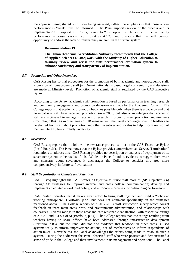the appraisal being shared with those being assessed; rather, the emphasis is that those whose performance is "weak" must be informed. The Panel supports review of the process and its implementation to support the College's aim to "develop and implement an effective faculty performance appraisal system" (SP, Strategy 4.5.2), and observes that this will provide opportunity to address the lack of transparency inherent in the current system.

#### **Recommendation 19**

**The Oman Academic Accreditation Authority recommends that the College of Applied Sciences Rustaq work with the Ministry of Higher Education to formally review and revise the staff performance evaluation system to enhance consistency and transparency of implementation.** 

# <span id="page-57-3"></span><span id="page-57-0"></span>*8.7 Promotion and Other Incentives*

CAS Rustaq has formal procedures for the promotion of both academic and non-academic staff. Promotion of non-academic staff (all Omani nationals) is based largely on seniority and decisions are made at Ministry level. Promotion of academic staff is regulated by the CAS Executive Bylaw.

According to the Bylaw, academic staff promotion is based on performance in teaching, research and community engagement and promotion decisions are made by the Academic Council. The College reports that academic promotion becomes possible only when there is a vacancy and that no expatriate staff have received promotion since 2008, but also acknowledges that academic staff are motivated to engage in academic research in order to meet promotion requirements (Portfolio, p.84). As in other areas of HR management, the Panel encourages specific feedback to be elicited from staff about promotion and other incentives and for this to help inform revision of the Executive Bylaw currently underway.

#### <span id="page-57-1"></span>*8.8 Severance*

CAS Rustaq reports that it follows the severance process set out in the CAS Executive Bylaw (Portfolio, p.85). The Panel notes that the Bylaw provides comprehensive "Service Termination" regulations to address this. CAS Rustaq provided no description or analysis of deployment of its severance system or the results of this. While the Panel found no evidence to suggest there were any concerns about severance, it encourages the College to consider this area more comprehensively in future self-evaluations.

# <span id="page-57-2"></span>*8.9 Staff Organisational Climate and Retention*

CAS Rustaq highlights the CAS Strategic Objective to "raise staff morale" (SP, Objective 4.6) through SP strategies to: improve internal and cross college communication; develop and implement an equitable workload policy; and introduce incentives for outstanding performance.

CAS Rustaq indicates that it makes great effort to bring staff together and build a "cohesive working atmosphere" (Portfolio, p.85) but does not comment specifically on the strategies mentioned above. The College reports on a 2012-2013 staff satisfaction survey which sought feedback on three main areas: work and environment; administration; and relationships with colleagues. Overall ratings in these areas indicate reasonable satisfaction (with respective ratings of 2.9, 3.1 and 3.4 out of 5) (Portfolio, p.84). The College reports that low ratings resulting from teachers having to share offices have been addressed through infrastructure development (Portfolio, p.85), but the Panel did not find evidence that feedback in other areas is used systematically to inform improvement actions, nor of mechanisms to inform respondents of action taken. Nevertheless, the Panel acknowledges the efforts being made to establish such a system. During the audit visit the Panel observed staff who were positive and demonstrated a sense of pride in the College and their involvement in its management and operations. The Panel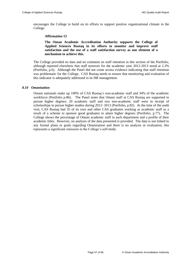<span id="page-58-1"></span>encourages the College to build on its efforts to support positive organizational climate in the College.

#### **Affirmation 13**

**The Oman Academic Accreditation Authority supports the College of Applied Sciences Rustaq in its efforts to monitor and improve staff satisfaction and the use of a staff satisfaction survey as one element of a mechanism to achieve this.** 

The College provided no data and no comment on staff retention in this section of the Portfolio, although reported elsewhere that staff turnover for the academic year 2012-2013 stood at 2.3% (Portfolio, p.6). Although the Panel did not come across evidence indicating that staff retention was problematic for the College, CAS Rustaq needs to ensure that monitoring and evaluation of this indicator is adequately addressed in its HR management.

#### <span id="page-58-0"></span>*8.10 Omanisation*

Omani nationals make up 100% of CAS Rustaq's non-academic staff and 34% of the academic workforce (Portfolio p.86). The Panel notes that Omani staff at CAS Rustaq are supported to pursue higher degrees; 20 academic staff and two non-academic staff were in receipt of scholarships to pursue higher studies during 2012- 2013 (Portfolio, p.82). At the time of the audit visit, CAS Rustaq had 35 of its own and other CAS graduates working as academic staff as a result of a scheme to sponsor good graduates to attain higher degrees (Portfolio, p.77). The College shows the percentage of Omani academic staff in each department and a profile of their academic titles. However, no analysis of the data presented is provided. The data is not linked to any formal plans or goals regarding Omanisation and there is no analysis or evaluation; this represents a significant omission in the College's self-study.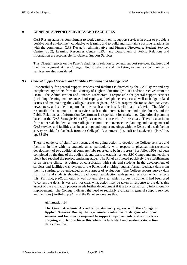# <span id="page-59-0"></span>**9 GENERAL SUPPORT SERVICES AND FACILITIES**

CAS Rustaq states its commitment to work carefully on its support services in order to provide a positive local environment conducive to learning and to build and maintain a positive relationship with the community. CAS Rustaq's Administrative and Finance Directorate, Student Services Centre (SSC), Learning Resources Centre (LRC) and Department of Public Relations and Information are responsible for General Support Services.

This Chapter reports on the Panel's findings in relation to general support services, facilities and their management at the College. Public relations and marketing as well as communication services are also considered.

#### <span id="page-59-1"></span>*9.1 General Support Services and Facilities Planning and Management*

Responsibility for general support services and facilities is directed by the CAS Bylaw and any complementary orders from the Ministry of Higher Education (MoHE) and/or directives from the Dean. The Administration and Finance Directorate is responsible for general support services (including cleaning, maintenance, landscaping, and telephone services) as well as budget related issues and maintaining the College's assets register. SSC is responsible for student activities, newsletters, and student support facilities such as the hostel, clinic and cafeteria. The LRC is responsible for communications services such as the internet, intranet and notice boards and the Public Relations and Information Department is responsible for marketing. Operational planning based on the CAS Strategic Plan (SP) is carried out in each of these areas. There is also input from other stakeholders: an intercollegiate committee to oversee the planning and management of CAS services and facilities has been set up; and regular meetings with the Dean and a satisfaction survey provide for feedback from the College's "customers" (i.e. staff and students). (Portfolio, pp. 88-89)

There is evidence of significant recent and on-going action to develop the College services and facilities in line with its strategic aims, particularly with respect to physical infrastructure: development of two additional computer labs reported to be in progress (Portfolio, p.90) had been completed by the time of the audit visit and plans to establish a new SSC Compound and teaching block had reached the project tendering stage. The Panel also noted positively the establishment of an on-site clinic. A culture of consultation with staff and students in the development of services and facilities was evident to the Panel and eliciting regular, formal feedback data from them is starting to be embedded as one aspect of evaluation. The College reports survey data from staff and students showing broad overall satisfaction with general services which reflects this (Portfolio, p.90), although it was not entirely clear which survey instruments had been used to collect the data. It was also not clear what action may be taken in response to the data; this aspect of the evaluation process needs further development if it is to systematically inform quality improvement. The College indicates the need to regularly evaluate its general support services and facilities (Portfolio, p.94), and the Panel encourages this.

# **Affirmation 14**

<span id="page-59-2"></span>**The Oman Academic Accreditation Authority agrees with the College of Applied Sciences Rustaq that systematic evaluation of its general support services and facilities is required to support improvements and supports its on-going efforts to achieve this which include staff and student satisfaction data collection.**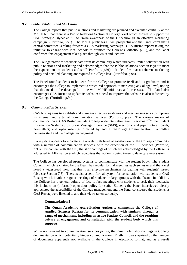#### <span id="page-60-0"></span>*9.2 Public Relations and Marketing*

The College reports that public relations and marketing are planned and executed centrally at the MoHE but that there is a Public Relations Section at College level which aspires to support the CAS Strategic Objective 2.1 to "raise awareness of the CAS through an effective marketing campaign" (Portfolio, p.91). The MoHE publishes a CAS prospectus and the Panel learnt that a central committee is taking forward a CAS marketing campaign. CAS Rustaq reports taking the initiative to engage with local schools to promote the College (Portfolio, p.91), and the Panel confirmed this engagement takes place through visits and lectures.

The College provides feedback data from its community which indicates limited satisfaction with public relations and marketing and acknowledges that the Public Relations Section is yet to meet the expectations of students and staff (Portfolio, p.91). It identifies that a coherent marketing policy and detailed planning are required at College level (Portfolio, p.94).

The Panel found students to be keen for the College to promote itself and its graduates and it encourages the College to implement a structured approach to marketing at College level, noting that this needs to be developed in line with MoHE initiatives and processes. The Panel also encourages CAS Rustaq to update its website; a need to improve the website is also indicated by the College (Portfolio, p.94).

#### <span id="page-60-1"></span>*9.3 Communication Services*

CAS Rustaq aims to establish and maintain effective strategies and mechanisms so as to improve its internal and external communication services (Portfolio, p.92). The various means of communication at CAS Rustaq include: College wide internet/intranet; Blackboard<sup>TM</sup>; the Student Information System (SIS); Short Messaging Service (SMS); electronic and paper notice Boards; newsletters; and open meetings directed by and Intra-College Communication Committee between staff and the College management.

Survey data appears to indicate a relatively high level of satisfaction of the College community with a number of communication services, with the exception of the SIS services (Portfolio, p.93). Discontent with the SIS, the shortcomings of which are acknowledged by the College, is addressed in [Affirmation 9](#page-45-2) which recognises that action is being taken to develop a new system.

The College has developed strong systems to communicate with the student body. The Student Council, which is chaired by the Dean, has regular formal meetings each semester and the Panel heard a widespread view that this is an effective mechanism for dealing with students' issues (also see Section [7.3\)](#page-50-1). There is also a semi-formal system for consultation with students at CAS Rustaq which involves regular meetings of students in large groups with the Dean. In addition, the College has a general culture of face-to-face meetings with students to seek their feedback; this includes an (informal) open-door policy for staff. Students the Panel interviewed clearly appreciated the accessibility of the College management and the Panel considered that students at CAS Rustaq were listened to and their views taken seriously.

# <span id="page-60-3"></span>**Commendation 3**

<span id="page-60-2"></span>**The Oman Academic Accreditation Authority commends the College of Applied Sciences Rustaq for its communication with students through a range of mechanisms, including an active Student Council, and the resulting culture of engagement and consultation with the student body which this supports.** 

While not relevant to communication services *per se*, the Panel noted shortcomings in College documentation which potentially hinder communication. Firstly, it was surprised by the number of documents apparently not available in the College in electronic format, and as a result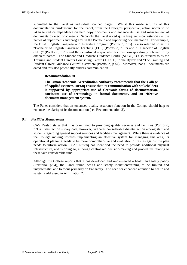submitted to the Panel as individual scanned pages. Whilst this made scrutiny of this documentation burdensome for the Panel, from the College's perspective, action needs to be taken to reduce dependence on hard copy documents and enhance its use and management of documents by electronic means. Secondly the Panel noted quite frequent inconsistencies in the names of departments and programs in the Portfolio and supporting documentation. For example, the B.Ed. English Language and Literature program (Portfolio, p.xi) is also referred to as the "Bachelor of English Language Teaching (ELT) (Portfolio, p.19) and a "Bachelor of English (ELT)" (Portfolio, p.20) and the department responsible for this correspondingly referred to by different names. The Student and Graduate Guidance Centre (SGGC) is also referred to as the Training and Student Careers Counseling Centre (TSCCC) in the Bylaw and "The Training and Student Career Guidance Centre" elsewhere (Portfolio, p.64). Moreover, not all documents are dated and this also potentially hinders communication.

# <span id="page-61-2"></span>**Recommendation 20**

<span id="page-61-1"></span>**The Oman Academic Accreditation Authority recommends that the College of Applied Sciences Rustaq ensure that its communication with stakeholders is supported by appropriate use of electronic forms of documentation, consistent use of terminology in formal documents, and an effective document management system.** 

The Panel considers that an enhanced quality assurance function in the College should help to enhance the clarity of its documentation (see [Recommendation 2\)](#page-17-2).

#### <span id="page-61-0"></span>*9.4 Facilities Management*

CAS Rustaq states that it is committed to providing quality services and facilities (Portfolio, p.93). Satisfaction survey data, however, indicates considerable dissatisfaction among staff and students regarding general support services and facilities management. While there is evidence of the College moving towards implementing an effective system for managing this area, its operational planning needs to be more comprehensive and evaluation of results against the plan needs to inform action. CAS Rustaq has identified the need to provide additional physical infrastructure, and is doing so, although centralized decision-making and procedures relating to these take considerable time.

Although the College reports that it has developed and implemented a health and safety policy (Portfolio, p.94), the Panel found health and safety induction/training to be limited and unsystematic, and to focus primarily on fire safety. The need for enhanced attention to health and safety is addressed in [Affirmation 2.](#page-23-2)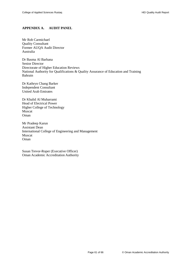# <span id="page-62-0"></span>**APPENDIX A. AUDIT PANEL**

Mr Rob Carmichael Quality Consultant Former AUQA Audit Director Australia

Dr Basma Al Barhana Senior Director Directorate of Higher Education Reviews National Authority for Qualifications & Quality Assurance of Education and Training Bahrain

Dr Kathryn Chang Barker Independent Consultant United Arab Emirates

Dr Khalid Al Muharrami Head of Electrical Power Higher College of Technology Muscat Oman

Mr Pradeep Karun Assistant Dean International College of Engineering and Management Muscat Oman

Susan Trevor-Roper (Executive Officer) Oman Academic Accreditation Authority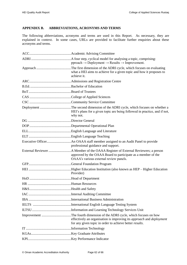# <span id="page-63-0"></span>**APPENDIX B. ABBREVIATIONS, ACRONYMS AND TERMS**

The following abbreviations, acronyms and terms are used in this Report. As necessary, they are explained in context. In some cases, URLs are provided to facilitate further enquiries about these acronyms and terms.

| $pproach \rightarrow Deployment \rightarrow Results \rightarrow Improvement.$                                                   |
|---------------------------------------------------------------------------------------------------------------------------------|
| what a HEI aims to achieve for a given topic and how it proposes to<br>achieve it.                                              |
|                                                                                                                                 |
|                                                                                                                                 |
|                                                                                                                                 |
|                                                                                                                                 |
|                                                                                                                                 |
| HEI's plans for a given topic are being followed in practice, and if not,<br>why not.                                           |
|                                                                                                                                 |
|                                                                                                                                 |
|                                                                                                                                 |
|                                                                                                                                 |
| professional guidance and support.                                                                                              |
| approved by the OAAA Board to participate as a member of the<br>OAAA's various external review panels.                          |
|                                                                                                                                 |
| Provider)                                                                                                                       |
|                                                                                                                                 |
|                                                                                                                                 |
|                                                                                                                                 |
|                                                                                                                                 |
|                                                                                                                                 |
|                                                                                                                                 |
|                                                                                                                                 |
| effectively an organisation is improving its approach and deployment<br>for any given topic in order to achieve better results. |
|                                                                                                                                 |
|                                                                                                                                 |
|                                                                                                                                 |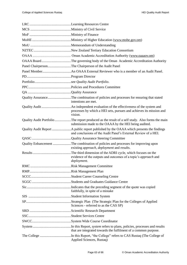| OAAA BoardThe governing body of the Oman Academic Accreditation Authority                                                                               |
|---------------------------------------------------------------------------------------------------------------------------------------------------------|
| Panel ChairpersonThe Chairperson of the Audit Panel                                                                                                     |
|                                                                                                                                                         |
|                                                                                                                                                         |
|                                                                                                                                                         |
|                                                                                                                                                         |
|                                                                                                                                                         |
| Quality AssuranceThe combination of policies and processes for ensuring that stated<br>intentions are met.                                              |
| processes by which a HEI sets, pursues and achieves its mission and<br>vision.                                                                          |
| Quality Audit Portfolio The report produced as the result of a self study. Also forms the main<br>submission made to the OAAA by the HEI being audited. |
| and conclusions of the Audit Panel's External Review of a HEI.                                                                                          |
|                                                                                                                                                         |
| Quality Enhancement The combination of policies and processes for improving upon<br>existing approach, deployment and results.                          |
| evidence of the outputs and outcomes of a topic's approach and<br>deployment.                                                                           |
|                                                                                                                                                         |
|                                                                                                                                                         |
|                                                                                                                                                         |
|                                                                                                                                                         |
| faithfully, in spite of a mistake                                                                                                                       |
|                                                                                                                                                         |
| Sciences - referred to as the CAS SP)                                                                                                                   |
|                                                                                                                                                         |
|                                                                                                                                                         |
|                                                                                                                                                         |
| that are integrated towards the fulfilment of a common purpose.                                                                                         |
| Applied Sciences, Rustaq)                                                                                                                               |